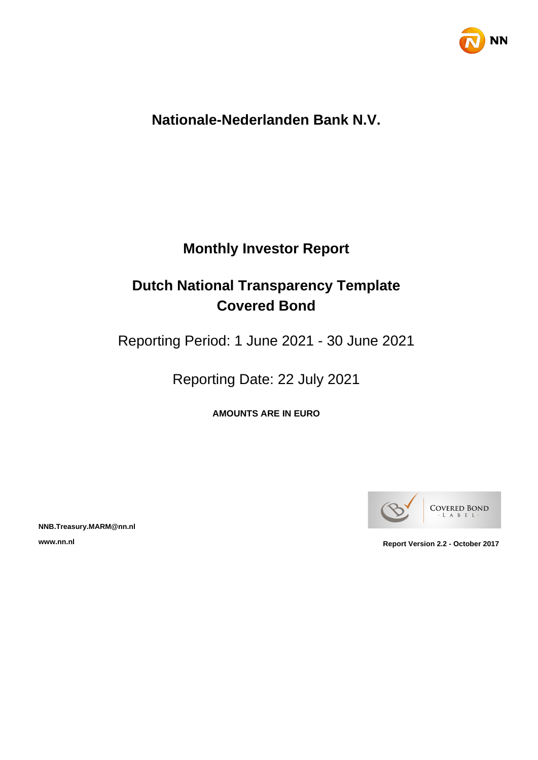

# **Nationale-Nederlanden Bank N.V.**

# **Monthly Investor Report**

# **Dutch National Transparency Template Covered Bond**

Reporting Period: 1 June 2021 - 30 June 2021

Reporting Date: 22 July 2021

**AMOUNTS ARE IN EURO**



**NNB.Treasury.MARM@nn.nl**

**www.nn.nl Report Version 2.2 - October 2017**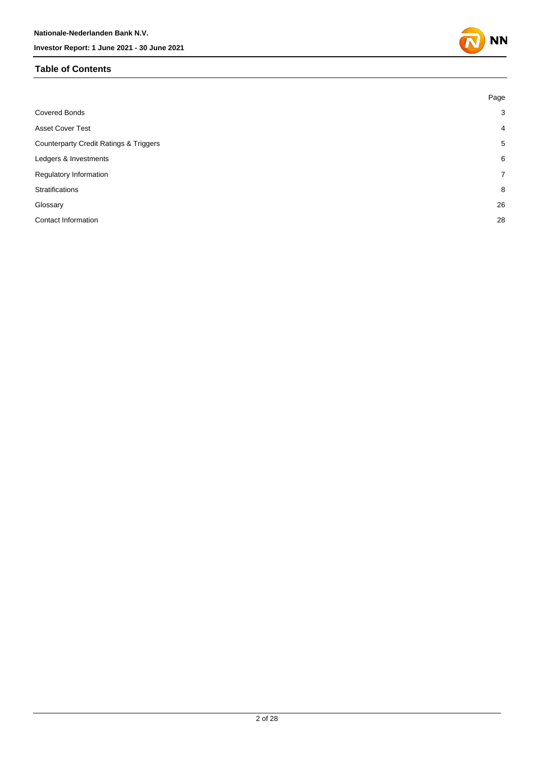### **Table of Contents**



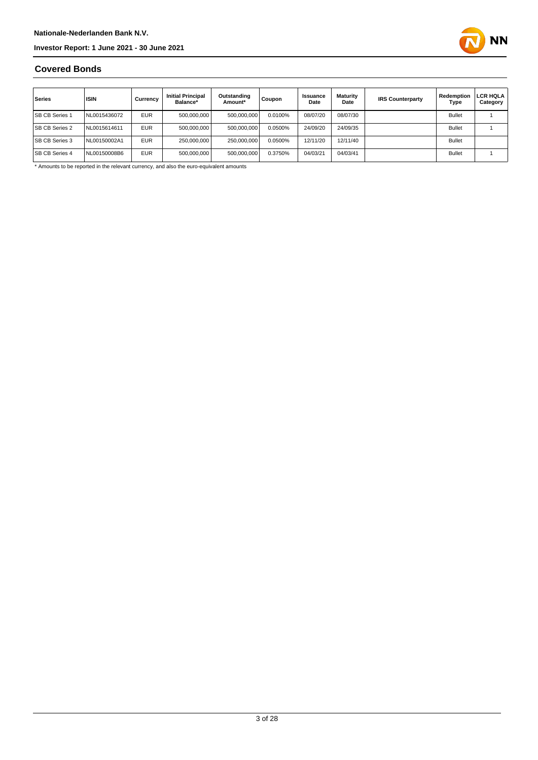

### **Covered Bonds**

| Series                | <b>ISIN</b>  | Currency   | <b>Initial Principal</b><br>Balance* | Outstanding<br>Amount* | Coupon  | Issuance<br>Date | Maturity<br>Date | <b>IRS Counterparty</b> | Redemption<br>Type | LCR HQLA<br>Category |
|-----------------------|--------------|------------|--------------------------------------|------------------------|---------|------------------|------------------|-------------------------|--------------------|----------------------|
| <b>SB CB Series 1</b> | NL0015436072 | <b>EUR</b> | 500,000,000                          | 500,000,000            | 0.0100% | 08/07/20         | 08/07/30         |                         | <b>Bullet</b>      |                      |
| <b>SB CB Series 2</b> | NL0015614611 | <b>EUR</b> | 500.000.000                          | 500,000,000            | 0.0500% | 24/09/20         | 24/09/35         |                         | <b>Bullet</b>      |                      |
| <b>SB CB Series 3</b> | NL00150002A1 | <b>EUR</b> | 250,000,000                          | 250.000.000            | 0.0500% | 12/11/20         | 12/11/40         |                         | <b>Bullet</b>      |                      |
| <b>SB CB Series 4</b> | NL00150008B6 | <b>EUR</b> | 500,000,000                          | 500,000,000            | 0.3750% | 04/03/21         | 04/03/41         |                         | <b>Bullet</b>      |                      |

\* Amounts to be reported in the relevant currency, and also the euro-equivalent amounts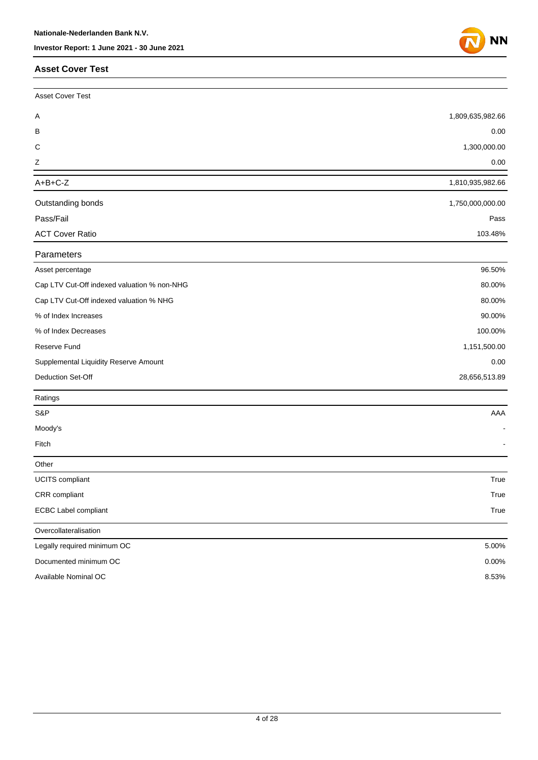### **Asset Cover Test**



| <b>Asset Cover Test</b>                     |                  |
|---------------------------------------------|------------------|
| Α                                           | 1,809,635,982.66 |
| В                                           | 0.00             |
| C                                           | 1,300,000.00     |
| Ζ                                           | 0.00             |
| $A+B+C-Z$                                   | 1,810,935,982.66 |
| Outstanding bonds                           | 1,750,000,000.00 |
| Pass/Fail                                   | Pass             |
| <b>ACT Cover Ratio</b>                      | 103.48%          |
| Parameters                                  |                  |
| Asset percentage                            | 96.50%           |
| Cap LTV Cut-Off indexed valuation % non-NHG | 80.00%           |
| Cap LTV Cut-Off indexed valuation % NHG     | 80.00%           |
| % of Index Increases                        | 90.00%           |
| % of Index Decreases                        | 100.00%          |
| Reserve Fund                                | 1,151,500.00     |
| Supplemental Liquidity Reserve Amount       | 0.00             |
| Deduction Set-Off                           | 28,656,513.89    |
| Ratings                                     |                  |
| S&P                                         | AAA              |
| Moody's                                     |                  |
| Fitch                                       |                  |
| Other                                       |                  |
| UCITS compliant                             | True             |
| CRR compliant                               | True             |
| <b>ECBC Label compliant</b>                 | True             |
| Overcollateralisation                       |                  |
| Legally required minimum OC                 | 5.00%            |
| Documented minimum OC                       | 0.00%            |
| Available Nominal OC                        | 8.53%            |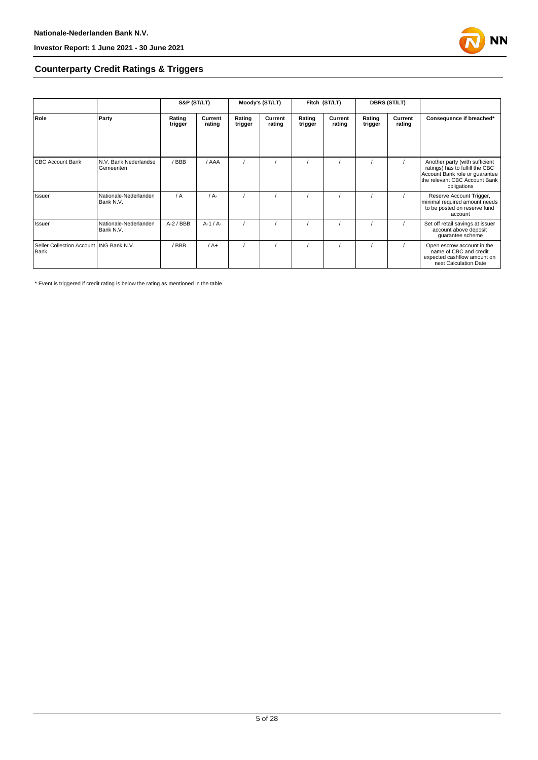

### **Counterparty Credit Ratings & Triggers**

|                                                   |                                    | S&P (ST/LT)       |                   | Moody's (ST/LT)   |                   | Fitch (ST/LT)     |                   | <b>DBRS (ST/LT)</b> |                   |                                                                                                                                                     |  |
|---------------------------------------------------|------------------------------------|-------------------|-------------------|-------------------|-------------------|-------------------|-------------------|---------------------|-------------------|-----------------------------------------------------------------------------------------------------------------------------------------------------|--|
| Role                                              | Party                              | Rating<br>trigger | Current<br>rating | Rating<br>trigger | Current<br>rating | Rating<br>trigger | Current<br>rating | Rating<br>trigger   | Current<br>rating | Consequence if breached*                                                                                                                            |  |
|                                                   |                                    |                   |                   |                   |                   |                   |                   |                     |                   |                                                                                                                                                     |  |
| <b>CBC Account Bank</b>                           | N.V. Bank Nederlandse<br>Gemeenten | /BBB              | / AAA             |                   |                   |                   |                   |                     |                   | Another party (with sufficient<br>ratings) has to fulfill the CBC<br>Account Bank role or quarantee<br>the relevant CBC Account Bank<br>obligations |  |
| Issuer                                            | Nationale-Nederlanden<br>Bank N.V. | / A               | $/A -$            |                   |                   |                   |                   |                     |                   | Reserve Account Trigger,<br>minimal required amount needs<br>to be posted on reserve fund<br>account                                                |  |
| Issuer                                            | Nationale-Nederlanden<br>Bank N.V. | $A-2$ / BBB       | $A-1/A-$          |                   |                   |                   |                   |                     |                   | Set off retail savings at issuer<br>account above deposit<br>guarantee scheme                                                                       |  |
| Seller Collection Account   ING Bank N.V.<br>Bank |                                    | / BBB             | $/A+$             |                   |                   |                   |                   |                     |                   | Open escrow account in the<br>name of CBC and credit<br>expected cashflow amount on<br>next Calculation Date                                        |  |

\* Event is triggered if credit rating is below the rating as mentioned in the table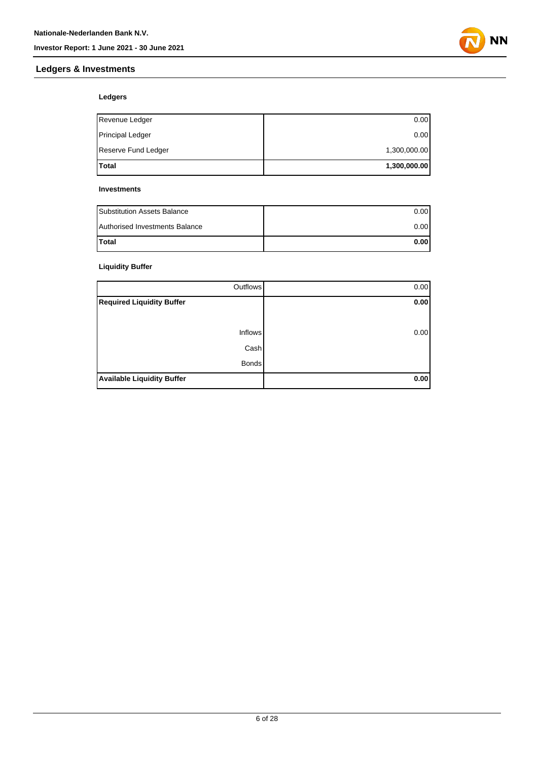### **Ledgers & Investments**



### **Ledgers**

| <b>Total</b>        | 1,300,000.00 |
|---------------------|--------------|
| Reserve Fund Ledger | 1,300,000.00 |
| Principal Ledger    | 0.00         |
| Revenue Ledger      | 0.00         |

#### **Investments**

| <b>Substitution Assets Balance</b> | 0.001 |
|------------------------------------|-------|
| Authorised Investments Balance     | 0.001 |
| <b>Total</b>                       | 0.001 |

### **Liquidity Buffer**

| Outflows                          | 0.00 |
|-----------------------------------|------|
| <b>Required Liquidity Buffer</b>  | 0.00 |
|                                   |      |
| <b>Inflows</b>                    | 0.00 |
| Cash                              |      |
| <b>Bonds</b>                      |      |
| <b>Available Liquidity Buffer</b> | 0.00 |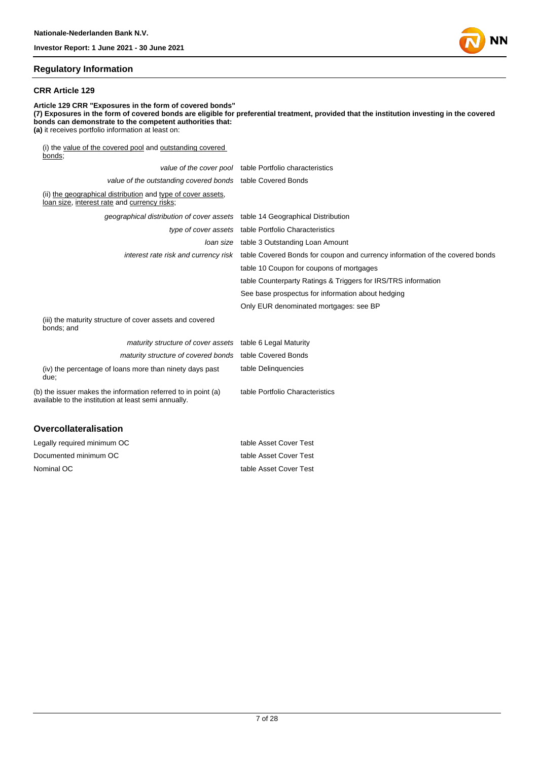#### **Regulatory Information**

#### **CRR Article 129**

**Article 129 CRR "Exposures in the form of covered bonds" (7) Exposures in the form of covered bonds are eligible for preferential treatment, provided that the institution investing in the covered bonds can demonstrate to the competent authorities that: (a)** it receives portfolio information at least on: (i) the value of the covered pool and outstanding covered bonds; value of the cover pool table Portfolio characteristics

|                                                                                                                       | value of the cover poor table I ortiono characteristics                                                           |
|-----------------------------------------------------------------------------------------------------------------------|-------------------------------------------------------------------------------------------------------------------|
| value of the outstanding covered bonds table Covered Bonds                                                            |                                                                                                                   |
| (ii) the geographical distribution and type of cover assets,<br>loan size, interest rate and currency risks;          |                                                                                                                   |
| geographical distribution of cover assets table 14 Geographical Distribution                                          |                                                                                                                   |
|                                                                                                                       | type of cover assets table Portfolio Characteristics                                                              |
|                                                                                                                       | Joan size table 3 Outstanding Loan Amount                                                                         |
|                                                                                                                       | interest rate risk and currency risk table Covered Bonds for coupon and currency information of the covered bonds |
|                                                                                                                       | table 10 Coupon for coupons of mortgages                                                                          |
|                                                                                                                       | table Counterparty Ratings & Triggers for IRS/TRS information                                                     |
|                                                                                                                       | See base prospectus for information about hedging                                                                 |
|                                                                                                                       | Only EUR denominated mortgages: see BP                                                                            |
| (iii) the maturity structure of cover assets and covered<br>bonds; and                                                |                                                                                                                   |
| maturity structure of cover assets table 6 Legal Maturity                                                             |                                                                                                                   |
| maturity structure of covered bonds                                                                                   | table Covered Bonds                                                                                               |
| (iv) the percentage of loans more than ninety days past<br>due:                                                       | table Delinguencies                                                                                               |
| (b) the issuer makes the information referred to in point (a)<br>available to the institution at least semi annually. | table Portfolio Characteristics                                                                                   |
|                                                                                                                       |                                                                                                                   |
|                                                                                                                       |                                                                                                                   |

### **Overcollateralisation**

| Legally required minimum OC | table Asset Cover Test |
|-----------------------------|------------------------|
| Documented minimum OC       | table Asset Cover Test |
| Nominal OC                  | table Asset Cover Test |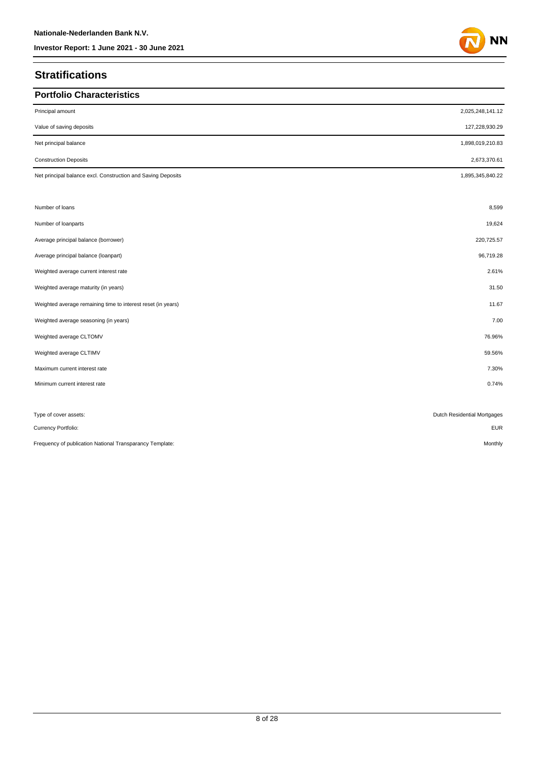### **Stratifications**

| <b>Portfolio Characteristics</b>                             |                             |
|--------------------------------------------------------------|-----------------------------|
| Principal amount                                             | 2,025,248,141.12            |
| Value of saving deposits                                     | 127,228,930.29              |
| Net principal balance                                        | 1,898,019,210.83            |
| <b>Construction Deposits</b>                                 | 2,673,370.61                |
| Net principal balance excl. Construction and Saving Deposits | 1,895,345,840.22            |
| Number of loans                                              | 8,599                       |
| Number of loanparts                                          | 19,624                      |
| Average principal balance (borrower)                         | 220,725.57                  |
| Average principal balance (loanpart)                         | 96,719.28                   |
| Weighted average current interest rate                       | 2.61%                       |
| Weighted average maturity (in years)                         | 31.50                       |
| Weighted average remaining time to interest reset (in years) | 11.67                       |
| Weighted average seasoning (in years)                        | 7.00                        |
| Weighted average CLTOMV                                      | 76.96%                      |
| Weighted average CLTIMV                                      | 59.56%                      |
| Maximum current interest rate                                | 7.30%                       |
| Minimum current interest rate                                | 0.74%                       |
|                                                              |                             |
| Type of cover assets:                                        | Dutch Residential Mortgages |
| Currency Portfolio:                                          | <b>EUR</b>                  |
| Frequency of publication National Transparancy Template:     | Monthly                     |

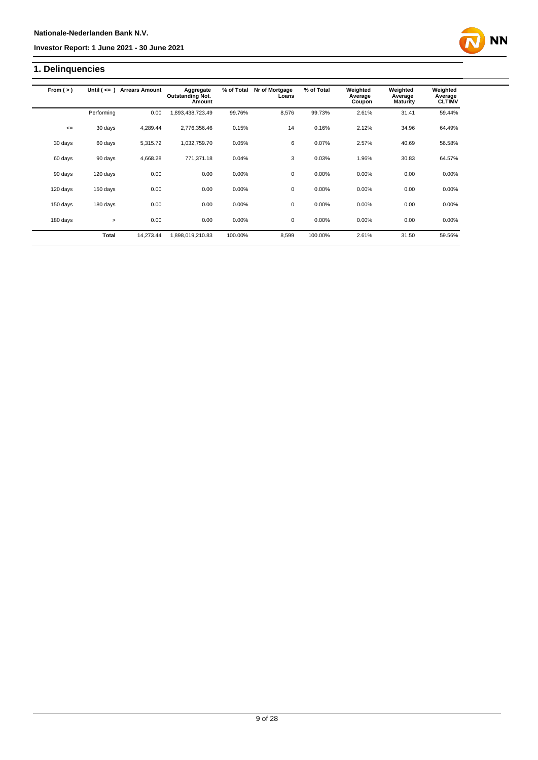## **1. Delinquencies**

| From $(>)$ | Until $($ <= $)$ | <b>Arrears Amount</b> | Aggregate<br><b>Outstanding Not.</b><br>Amount | % of Total | Nr of Mortgage<br>Loans | % of Total | Weighted<br>Average<br>Coupon | Weighted<br>Average<br><b>Maturity</b> | Weighted<br>Average<br><b>CLTIMV</b> |
|------------|------------------|-----------------------|------------------------------------------------|------------|-------------------------|------------|-------------------------------|----------------------------------------|--------------------------------------|
|            | Performing       | 0.00                  | 1,893,438,723.49                               | 99.76%     | 8,576                   | 99.73%     | 2.61%                         | 31.41                                  | 59.44%                               |
| $\leq$     | 30 days          | 4,289.44              | 2,776,356.46                                   | 0.15%      | 14                      | 0.16%      | 2.12%                         | 34.96                                  | 64.49%                               |
| 30 days    | 60 days          | 5,315.72              | 1,032,759.70                                   | 0.05%      | 6                       | 0.07%      | 2.57%                         | 40.69                                  | 56.58%                               |
| 60 days    | 90 days          | 4,668.28              | 771,371.18                                     | 0.04%      | 3                       | 0.03%      | 1.96%                         | 30.83                                  | 64.57%                               |
| 90 days    | 120 days         | 0.00                  | 0.00                                           | 0.00%      | 0                       | 0.00%      | 0.00%                         | 0.00                                   | 0.00%                                |
| 120 days   | 150 days         | 0.00                  | 0.00                                           | 0.00%      | $\mathbf 0$             | 0.00%      | 0.00%                         | 0.00                                   | 0.00%                                |
| 150 days   | 180 days         | 0.00                  | 0.00                                           | 0.00%      | 0                       | 0.00%      | 0.00%                         | 0.00                                   | 0.00%                                |
| 180 days   | $\geq$           | 0.00                  | 0.00                                           | 0.00%      | $\mathbf 0$             | 0.00%      | 0.00%                         | 0.00                                   | 0.00%                                |
|            | <b>Total</b>     | 14.273.44             | 1,898,019,210.83                               | 100.00%    | 8.599                   | 100.00%    | 2.61%                         | 31.50                                  | 59.56%                               |

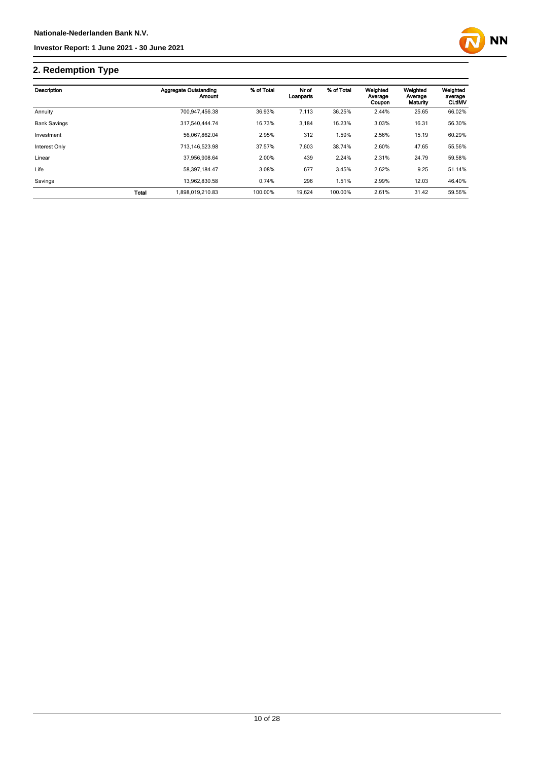

## **2. Redemption Type**

| Description         |              | Aggregate Outstanding<br>Amount | % of Total | Nr of<br>Loanparts | % of Total | Weighted<br>Average<br>Coupon | Weighted<br>Average<br>Maturity | Weighted<br>average<br><b>CLtIMV</b> |
|---------------------|--------------|---------------------------------|------------|--------------------|------------|-------------------------------|---------------------------------|--------------------------------------|
| Annuity             |              | 700.947.456.38                  | 36.93%     | 7,113              | 36.25%     | 2.44%                         | 25.65                           | 66.02%                               |
| <b>Bank Savings</b> |              | 317.540.444.74                  | 16.73%     | 3,184              | 16.23%     | 3.03%                         | 16.31                           | 56.30%                               |
| Investment          |              | 56.067.862.04                   | 2.95%      | 312                | 1.59%      | 2.56%                         | 15.19                           | 60.29%                               |
| Interest Only       |              | 713.146.523.98                  | 37.57%     | 7,603              | 38.74%     | 2.60%                         | 47.65                           | 55.56%                               |
| Linear              |              | 37.956.908.64                   | 2.00%      | 439                | 2.24%      | 2.31%                         | 24.79                           | 59.58%                               |
| Life                |              | 58.397.184.47                   | 3.08%      | 677                | 3.45%      | 2.62%                         | 9.25                            | 51.14%                               |
| Savings             |              | 13,962,830.58                   | 0.74%      | 296                | 1.51%      | 2.99%                         | 12.03                           | 46.40%                               |
|                     | <b>Total</b> | 1.898.019.210.83                | 100.00%    | 19,624             | 100.00%    | 2.61%                         | 31.42                           | 59.56%                               |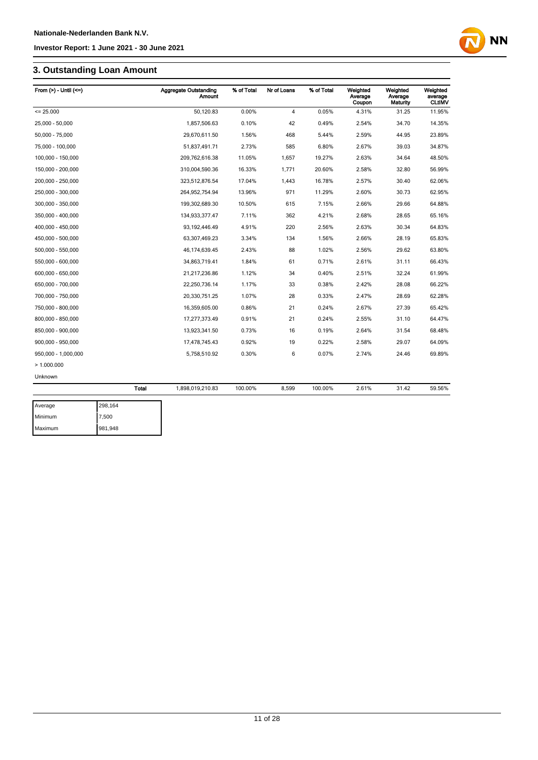## **3. Outstanding Loan Amount**

| From $(>)$ - Until $(<=)$ |              | <b>Aggregate Outstanding</b><br><b>Amount</b> | % of Total | Nr of Loans    | % of Total | Weighted<br>Average<br>Coupon | Weighted<br>Average<br>Maturity | Weighted<br>average<br><b>CLtIMV</b> |
|---------------------------|--------------|-----------------------------------------------|------------|----------------|------------|-------------------------------|---------------------------------|--------------------------------------|
| $= 25.000$                |              | 50,120.83                                     | 0.00%      | $\overline{4}$ | 0.05%      | 4.31%                         | 31.25                           | 11.95%                               |
| 25,000 - 50,000           |              | 1,857,506.63                                  | 0.10%      | 42             | 0.49%      | 2.54%                         | 34.70                           | 14.35%                               |
| 50,000 - 75,000           |              | 29,670,611.50                                 | 1.56%      | 468            | 5.44%      | 2.59%                         | 44.95                           | 23.89%                               |
| 75,000 - 100,000          |              | 51,837,491.71                                 | 2.73%      | 585            | 6.80%      | 2.67%                         | 39.03                           | 34.87%                               |
| 100,000 - 150,000         |              | 209,762,616.38                                | 11.05%     | 1,657          | 19.27%     | 2.63%                         | 34.64                           | 48.50%                               |
| 150,000 - 200,000         |              | 310,004,590.36                                | 16.33%     | 1,771          | 20.60%     | 2.58%                         | 32.80                           | 56.99%                               |
| 200,000 - 250,000         |              | 323,512,876.54                                | 17.04%     | 1,443          | 16.78%     | 2.57%                         | 30.40                           | 62.06%                               |
| 250,000 - 300,000         |              | 264,952,754.94                                | 13.96%     | 971            | 11.29%     | 2.60%                         | 30.73                           | 62.95%                               |
| 300,000 - 350,000         |              | 199,302,689.30                                | 10.50%     | 615            | 7.15%      | 2.66%                         | 29.66                           | 64.88%                               |
| 350,000 - 400,000         |              | 134,933,377.47                                | 7.11%      | 362            | 4.21%      | 2.68%                         | 28.65                           | 65.16%                               |
| 400,000 - 450,000         |              | 93, 192, 446.49                               | 4.91%      | 220            | 2.56%      | 2.63%                         | 30.34                           | 64.83%                               |
| 450,000 - 500,000         |              | 63,307,469.23                                 | 3.34%      | 134            | 1.56%      | 2.66%                         | 28.19                           | 65.83%                               |
| 500,000 - 550,000         |              | 46, 174, 639. 45                              | 2.43%      | 88             | 1.02%      | 2.56%                         | 29.62                           | 63.80%                               |
| 550,000 - 600,000         |              | 34,863,719.41                                 | 1.84%      | 61             | 0.71%      | 2.61%                         | 31.11                           | 66.43%                               |
| 600,000 - 650,000         |              | 21,217,236.86                                 | 1.12%      | 34             | 0.40%      | 2.51%                         | 32.24                           | 61.99%                               |
| 650,000 - 700,000         |              | 22,250,736.14                                 | 1.17%      | 33             | 0.38%      | 2.42%                         | 28.08                           | 66.22%                               |
| 700,000 - 750,000         |              | 20,330,751.25                                 | 1.07%      | 28             | 0.33%      | 2.47%                         | 28.69                           | 62.28%                               |
| 750,000 - 800,000         |              | 16,359,605.00                                 | 0.86%      | 21             | 0.24%      | 2.67%                         | 27.39                           | 65.42%                               |
| 800,000 - 850,000         |              | 17,277,373.49                                 | 0.91%      | 21             | 0.24%      | 2.55%                         | 31.10                           | 64.47%                               |
| 850,000 - 900,000         |              | 13,923,341.50                                 | 0.73%      | 16             | 0.19%      | 2.64%                         | 31.54                           | 68.48%                               |
| 900,000 - 950,000         |              | 17,478,745.43                                 | 0.92%      | 19             | 0.22%      | 2.58%                         | 29.07                           | 64.09%                               |
| 950,000 - 1,000,000       |              | 5,758,510.92                                  | 0.30%      | 6              | 0.07%      | 2.74%                         | 24.46                           | 69.89%                               |
| >1.000.000                |              |                                               |            |                |            |                               |                                 |                                      |
| Unknown                   |              |                                               |            |                |            |                               |                                 |                                      |
|                           | <b>Total</b> | 1,898,019,210.83                              | 100.00%    | 8,599          | 100.00%    | 2.61%                         | 31.42                           | 59.56%                               |
| Average                   | 298,164      |                                               |            |                |            |                               |                                 |                                      |

**NN** 

| Average | 298,164 |
|---------|---------|
| Minimum | 7,500   |
| Maximum | 981,948 |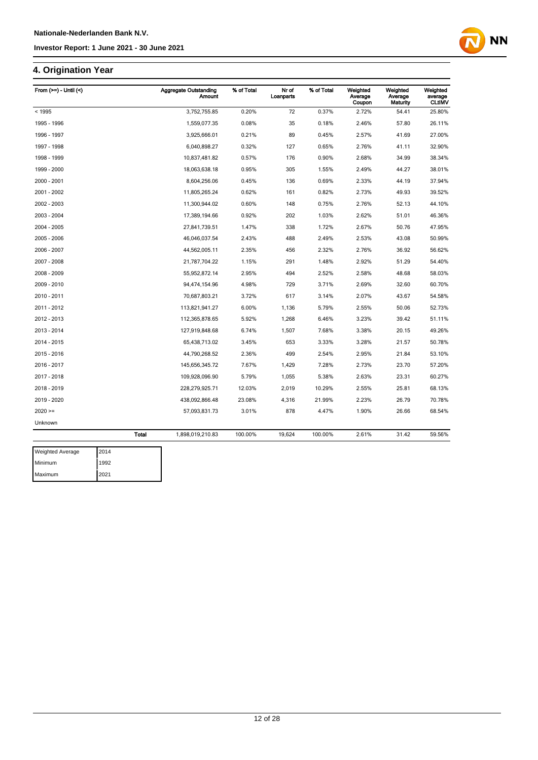### **4. Origination Year**

| From $(>=) -$ Until $($ |              | <b>Aggregate Outstanding</b><br><b>Amount</b> | % of Total | Nr of<br>Loanparts | % of Total | Weighted<br>Average<br>Coupon | Weighted<br>Average<br>Maturity | Weighted<br>average<br><b>CLtIMV</b> |
|-------------------------|--------------|-----------------------------------------------|------------|--------------------|------------|-------------------------------|---------------------------------|--------------------------------------|
| < 1995                  |              | 3,752,755.85                                  | 0.20%      | 72                 | 0.37%      | 2.72%                         | 54.41                           | 25.80%                               |
| 1995 - 1996             |              | 1,559,077.35                                  | 0.08%      | 35                 | 0.18%      | 2.46%                         | 57.80                           | 26.11%                               |
| 1996 - 1997             |              | 3,925,666.01                                  | 0.21%      | 89                 | 0.45%      | 2.57%                         | 41.69                           | 27.00%                               |
| 1997 - 1998             |              | 6,040,898.27                                  | 0.32%      | 127                | 0.65%      | 2.76%                         | 41.11                           | 32.90%                               |
| 1998 - 1999             |              | 10,837,481.82                                 | 0.57%      | 176                | 0.90%      | 2.68%                         | 34.99                           | 38.34%                               |
| 1999 - 2000             |              | 18,063,638.18                                 | 0.95%      | 305                | 1.55%      | 2.49%                         | 44.27                           | 38.01%                               |
| 2000 - 2001             |              | 8,604,256.06                                  | 0.45%      | 136                | 0.69%      | 2.33%                         | 44.19                           | 37.94%                               |
| 2001 - 2002             |              | 11,805,265.24                                 | 0.62%      | 161                | 0.82%      | 2.73%                         | 49.93                           | 39.52%                               |
| 2002 - 2003             |              | 11,300,944.02                                 | 0.60%      | 148                | 0.75%      | 2.76%                         | 52.13                           | 44.10%                               |
| 2003 - 2004             |              | 17,389,194.66                                 | 0.92%      | 202                | 1.03%      | 2.62%                         | 51.01                           | 46.36%                               |
| 2004 - 2005             |              | 27,841,739.51                                 | 1.47%      | 338                | 1.72%      | 2.67%                         | 50.76                           | 47.95%                               |
| 2005 - 2006             |              | 46,046,037.54                                 | 2.43%      | 488                | 2.49%      | 2.53%                         | 43.08                           | 50.99%                               |
| 2006 - 2007             |              | 44,562,005.11                                 | 2.35%      | 456                | 2.32%      | 2.76%                         | 36.92                           | 56.62%                               |
| 2007 - 2008             |              | 21,787,704.22                                 | 1.15%      | 291                | 1.48%      | 2.92%                         | 51.29                           | 54.40%                               |
| 2008 - 2009             |              | 55,952,872.14                                 | 2.95%      | 494                | 2.52%      | 2.58%                         | 48.68                           | 58.03%                               |
| 2009 - 2010             |              | 94,474,154.96                                 | 4.98%      | 729                | 3.71%      | 2.69%                         | 32.60                           | 60.70%                               |
| 2010 - 2011             |              | 70,687,803.21                                 | 3.72%      | 617                | 3.14%      | 2.07%                         | 43.67                           | 54.58%                               |
| 2011 - 2012             |              | 113,821,941.27                                | 6.00%      | 1,136              | 5.79%      | 2.55%                         | 50.06                           | 52.73%                               |
| 2012 - 2013             |              | 112,365,878.65                                | 5.92%      | 1,268              | 6.46%      | 3.23%                         | 39.42                           | 51.11%                               |
| 2013 - 2014             |              | 127,919,848.68                                | 6.74%      | 1,507              | 7.68%      | 3.38%                         | 20.15                           | 49.26%                               |
| 2014 - 2015             |              | 65,438,713.02                                 | 3.45%      | 653                | 3.33%      | 3.28%                         | 21.57                           | 50.78%                               |
| 2015 - 2016             |              | 44,790,268.52                                 | 2.36%      | 499                | 2.54%      | 2.95%                         | 21.84                           | 53.10%                               |
| 2016 - 2017             |              | 145,656,345.72                                | 7.67%      | 1,429              | 7.28%      | 2.73%                         | 23.70                           | 57.20%                               |
| 2017 - 2018             |              | 109,928,096.90                                | 5.79%      | 1,055              | 5.38%      | 2.63%                         | 23.31                           | 60.27%                               |
| 2018 - 2019             |              | 228,279,925.71                                | 12.03%     | 2,019              | 10.29%     | 2.55%                         | 25.81                           | 68.13%                               |
| 2019 - 2020             |              | 438,092,866.48                                | 23.08%     | 4,316              | 21.99%     | 2.23%                         | 26.79                           | 70.78%                               |
| $2020 =$                |              | 57,093,831.73                                 | 3.01%      | 878                | 4.47%      | 1.90%                         | 26.66                           | 68.54%                               |
| Unknown                 |              |                                               |            |                    |            |                               |                                 |                                      |
|                         | <b>Total</b> | 1,898,019,210.83                              | 100.00%    | 19,624             | 100.00%    | 2.61%                         | 31.42                           | 59.56%                               |

**NN** 

| Weighted Average | 2014 |
|------------------|------|
| Minimum          | 1992 |
| Maximum          | 2021 |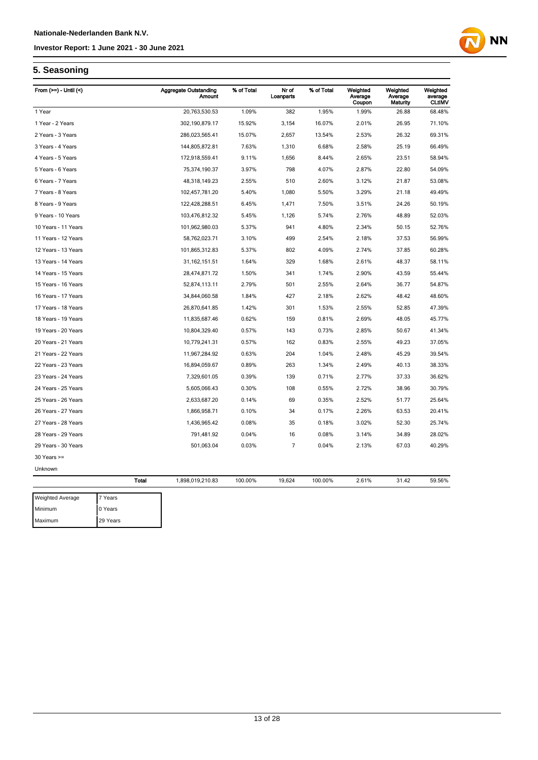

### **5. Seasoning**

Maximum 29 Years

| From $(>=)$ - Until $($ |         | <b>Aggregate Outstanding</b><br><b>Amount</b> | % of Total | Nr of<br>Loanparts | % of Total | Weighted<br>Average<br>Coupon | Weighted<br>Average<br>Maturity | Weighted<br>average<br><b>CLtIMV</b> |
|-------------------------|---------|-----------------------------------------------|------------|--------------------|------------|-------------------------------|---------------------------------|--------------------------------------|
| 1 Year                  |         | 20,763,530.53                                 | 1.09%      | 382                | 1.95%      | 1.99%                         | 26.88                           | 68.48%                               |
| 1 Year - 2 Years        |         | 302,190,879.17                                | 15.92%     | 3,154              | 16.07%     | 2.01%                         | 26.95                           | 71.10%                               |
| 2 Years - 3 Years       |         | 286,023,565.41                                | 15.07%     | 2,657              | 13.54%     | 2.53%                         | 26.32                           | 69.31%                               |
| 3 Years - 4 Years       |         | 144,805,872.81                                | 7.63%      | 1,310              | 6.68%      | 2.58%                         | 25.19                           | 66.49%                               |
| 4 Years - 5 Years       |         | 172,918,559.41                                | 9.11%      | 1,656              | 8.44%      | 2.65%                         | 23.51                           | 58.94%                               |
| 5 Years - 6 Years       |         | 75,374,190.37                                 | 3.97%      | 798                | 4.07%      | 2.87%                         | 22.80                           | 54.09%                               |
| 6 Years - 7 Years       |         | 48,318,149.23                                 | 2.55%      | 510                | 2.60%      | 3.12%                         | 21.87                           | 53.08%                               |
| 7 Years - 8 Years       |         | 102,457,781.20                                | 5.40%      | 1,080              | 5.50%      | 3.29%                         | 21.18                           | 49.49%                               |
| 8 Years - 9 Years       |         | 122,428,288.51                                | 6.45%      | 1,471              | 7.50%      | 3.51%                         | 24.26                           | 50.19%                               |
| 9 Years - 10 Years      |         | 103,476,812.32                                | 5.45%      | 1,126              | 5.74%      | 2.76%                         | 48.89                           | 52.03%                               |
| 10 Years - 11 Years     |         | 101,962,980.03                                | 5.37%      | 941                | 4.80%      | 2.34%                         | 50.15                           | 52.76%                               |
| 11 Years - 12 Years     |         | 58,762,023.71                                 | 3.10%      | 499                | 2.54%      | 2.18%                         | 37.53                           | 56.99%                               |
| 12 Years - 13 Years     |         | 101,865,312.83                                | 5.37%      | 802                | 4.09%      | 2.74%                         | 37.85                           | 60.28%                               |
| 13 Years - 14 Years     |         | 31, 162, 151.51                               | 1.64%      | 329                | 1.68%      | 2.61%                         | 48.37                           | 58.11%                               |
| 14 Years - 15 Years     |         | 28,474,871.72                                 | 1.50%      | 341                | 1.74%      | 2.90%                         | 43.59                           | 55.44%                               |
| 15 Years - 16 Years     |         | 52,874,113.11                                 | 2.79%      | 501                | 2.55%      | 2.64%                         | 36.77                           | 54.87%                               |
| 16 Years - 17 Years     |         | 34,844,060.58                                 | 1.84%      | 427                | 2.18%      | 2.62%                         | 48.42                           | 48.60%                               |
| 17 Years - 18 Years     |         | 26,870,641.85                                 | 1.42%      | 301                | 1.53%      | 2.55%                         | 52.85                           | 47.39%                               |
| 18 Years - 19 Years     |         | 11,835,687.46                                 | 0.62%      | 159                | 0.81%      | 2.69%                         | 48.05                           | 45.77%                               |
| 19 Years - 20 Years     |         | 10,804,329.40                                 | 0.57%      | 143                | 0.73%      | 2.85%                         | 50.67                           | 41.34%                               |
| 20 Years - 21 Years     |         | 10,779,241.31                                 | 0.57%      | 162                | 0.83%      | 2.55%                         | 49.23                           | 37.05%                               |
| 21 Years - 22 Years     |         | 11,967,284.92                                 | 0.63%      | 204                | 1.04%      | 2.48%                         | 45.29                           | 39.54%                               |
| 22 Years - 23 Years     |         | 16,894,059.67                                 | 0.89%      | 263                | 1.34%      | 2.49%                         | 40.13                           | 38.33%                               |
| 23 Years - 24 Years     |         | 7,329,601.05                                  | 0.39%      | 139                | 0.71%      | 2.77%                         | 37.33                           | 36.62%                               |
| 24 Years - 25 Years     |         | 5,605,066.43                                  | 0.30%      | 108                | 0.55%      | 2.72%                         | 38.96                           | 30.79%                               |
| 25 Years - 26 Years     |         | 2,633,687.20                                  | 0.14%      | 69                 | 0.35%      | 2.52%                         | 51.77                           | 25.64%                               |
| 26 Years - 27 Years     |         | 1,866,958.71                                  | 0.10%      | 34                 | 0.17%      | 2.26%                         | 63.53                           | 20.41%                               |
| 27 Years - 28 Years     |         | 1,436,965.42                                  | 0.08%      | 35                 | 0.18%      | 3.02%                         | 52.30                           | 25.74%                               |
| 28 Years - 29 Years     |         | 791,481.92                                    | 0.04%      | 16                 | 0.08%      | 3.14%                         | 34.89                           | 28.02%                               |
| 29 Years - 30 Years     |         | 501,063.04                                    | 0.03%      | $\overline{7}$     | 0.04%      | 2.13%                         | 67.03                           | 40.29%                               |
| $30$ Years $>=$         |         |                                               |            |                    |            |                               |                                 |                                      |
| Unknown                 |         |                                               |            |                    |            |                               |                                 |                                      |
|                         | Total   | 1,898,019,210.83                              | 100.00%    | 19,624             | 100.00%    | 2.61%                         | 31.42                           | 59.56%                               |
| <b>Weighted Average</b> | 7 Years |                                               |            |                    |            |                               |                                 |                                      |
| Minimum                 | 0 Years |                                               |            |                    |            |                               |                                 |                                      |

13 of 28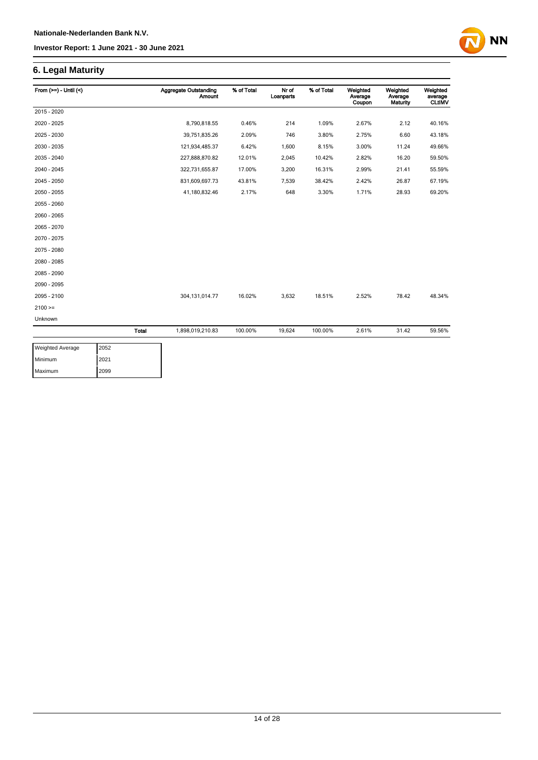### **6. Legal Maturity**

| From $(>=) -$ Until $($ |              | <b>Aggregate Outstanding</b><br><b>Amount</b> | % of Total | Nr of<br>Loanparts | % of Total | Weighted<br>Average<br>Coupon | Weighted<br>Average<br>Maturity | Weighted<br>average<br><b>CLtIMV</b> |
|-------------------------|--------------|-----------------------------------------------|------------|--------------------|------------|-------------------------------|---------------------------------|--------------------------------------|
| 2015 - 2020             |              |                                               |            |                    |            |                               |                                 |                                      |
| 2020 - 2025             |              | 8,790,818.55                                  | 0.46%      | 214                | 1.09%      | 2.67%                         | 2.12                            | 40.16%                               |
| 2025 - 2030             |              | 39,751,835.26                                 | 2.09%      | 746                | 3.80%      | 2.75%                         | 6.60                            | 43.18%                               |
| 2030 - 2035             |              | 121,934,485.37                                | 6.42%      | 1,600              | 8.15%      | 3.00%                         | 11.24                           | 49.66%                               |
| 2035 - 2040             |              | 227,888,870.82                                | 12.01%     | 2,045              | 10.42%     | 2.82%                         | 16.20                           | 59.50%                               |
| 2040 - 2045             |              | 322,731,655.87                                | 17.00%     | 3,200              | 16.31%     | 2.99%                         | 21.41                           | 55.59%                               |
| 2045 - 2050             |              | 831,609,697.73                                | 43.81%     | 7,539              | 38.42%     | 2.42%                         | 26.87                           | 67.19%                               |
| 2050 - 2055             |              | 41,180,832.46                                 | 2.17%      | 648                | 3.30%      | 1.71%                         | 28.93                           | 69.20%                               |
| 2055 - 2060             |              |                                               |            |                    |            |                               |                                 |                                      |
| 2060 - 2065             |              |                                               |            |                    |            |                               |                                 |                                      |
| 2065 - 2070             |              |                                               |            |                    |            |                               |                                 |                                      |
| 2070 - 2075             |              |                                               |            |                    |            |                               |                                 |                                      |
| 2075 - 2080             |              |                                               |            |                    |            |                               |                                 |                                      |
| 2080 - 2085             |              |                                               |            |                    |            |                               |                                 |                                      |
| 2085 - 2090             |              |                                               |            |                    |            |                               |                                 |                                      |
| 2090 - 2095             |              |                                               |            |                    |            |                               |                                 |                                      |
| 2095 - 2100             |              | 304, 131, 014. 77                             | 16.02%     | 3,632              | 18.51%     | 2.52%                         | 78.42                           | 48.34%                               |
| $2100 =$                |              |                                               |            |                    |            |                               |                                 |                                      |
| Unknown                 |              |                                               |            |                    |            |                               |                                 |                                      |
|                         | <b>Total</b> | 1,898,019,210.83                              | 100.00%    | 19,624             | 100.00%    | 2.61%                         | 31.42                           | 59.56%                               |

**NN** 

| <b>Weighted Average</b> | 2052 |
|-------------------------|------|
| Minimum                 | 2021 |
| Maximum                 | 2099 |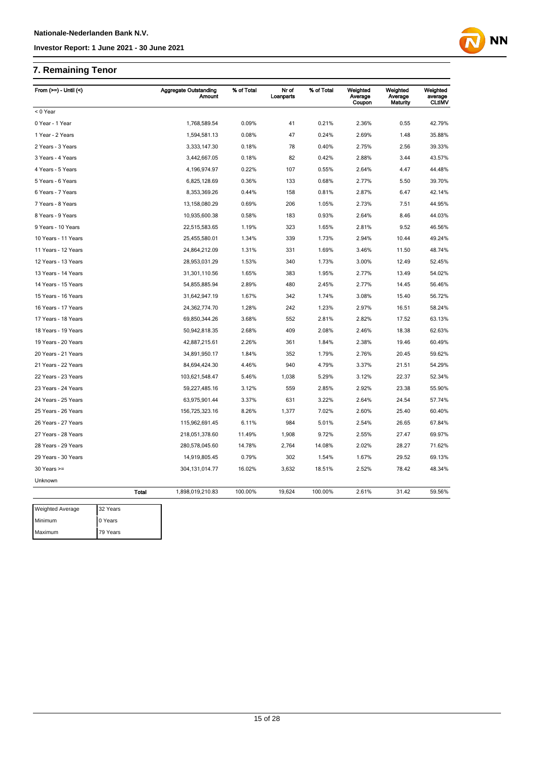## **7. Remaining Tenor**

Maximum 79 Years

| From $(>=) -$ Until $($ |              | <b>Aggregate Outstanding</b><br><b>Amount</b> | % of Total | Nr of<br>Loanparts | % of Total | Weighted<br>Average<br>Coupon | Weighted<br>Average<br>Maturity | Weighted<br>average<br><b>CLtIMV</b> |
|-------------------------|--------------|-----------------------------------------------|------------|--------------------|------------|-------------------------------|---------------------------------|--------------------------------------|
| < 0 Year                |              |                                               |            |                    |            |                               |                                 |                                      |
| 0 Year - 1 Year         |              | 1,768,589.54                                  | 0.09%      | 41                 | 0.21%      | 2.36%                         | 0.55                            | 42.79%                               |
| 1 Year - 2 Years        |              | 1,594,581.13                                  | 0.08%      | 47                 | 0.24%      | 2.69%                         | 1.48                            | 35.88%                               |
| 2 Years - 3 Years       |              | 3,333,147.30                                  | 0.18%      | 78                 | 0.40%      | 2.75%                         | 2.56                            | 39.33%                               |
| 3 Years - 4 Years       |              | 3,442,667.05                                  | 0.18%      | 82                 | 0.42%      | 2.88%                         | 3.44                            | 43.57%                               |
| 4 Years - 5 Years       |              | 4,196,974.97                                  | 0.22%      | 107                | 0.55%      | 2.64%                         | 4.47                            | 44.48%                               |
| 5 Years - 6 Years       |              | 6,825,128.69                                  | 0.36%      | 133                | 0.68%      | 2.77%                         | 5.50                            | 39.70%                               |
| 6 Years - 7 Years       |              | 8,353,369.26                                  | 0.44%      | 158                | 0.81%      | 2.87%                         | 6.47                            | 42.14%                               |
| 7 Years - 8 Years       |              | 13, 158, 080. 29                              | 0.69%      | 206                | 1.05%      | 2.73%                         | 7.51                            | 44.95%                               |
| 8 Years - 9 Years       |              | 10,935,600.38                                 | 0.58%      | 183                | 0.93%      | 2.64%                         | 8.46                            | 44.03%                               |
| 9 Years - 10 Years      |              | 22,515,583.65                                 | 1.19%      | 323                | 1.65%      | 2.81%                         | 9.52                            | 46.56%                               |
| 10 Years - 11 Years     |              | 25,455,580.01                                 | 1.34%      | 339                | 1.73%      | 2.94%                         | 10.44                           | 49.24%                               |
| 11 Years - 12 Years     |              | 24,864,212.09                                 | 1.31%      | 331                | 1.69%      | 3.46%                         | 11.50                           | 48.74%                               |
| 12 Years - 13 Years     |              | 28,953,031.29                                 | 1.53%      | 340                | 1.73%      | 3.00%                         | 12.49                           | 52.45%                               |
| 13 Years - 14 Years     |              | 31,301,110.56                                 | 1.65%      | 383                | 1.95%      | 2.77%                         | 13.49                           | 54.02%                               |
| 14 Years - 15 Years     |              | 54,855,885.94                                 | 2.89%      | 480                | 2.45%      | 2.77%                         | 14.45                           | 56.46%                               |
| 15 Years - 16 Years     |              | 31,642,947.19                                 | 1.67%      | 342                | 1.74%      | 3.08%                         | 15.40                           | 56.72%                               |
| 16 Years - 17 Years     |              | 24,362,774.70                                 | 1.28%      | 242                | 1.23%      | 2.97%                         | 16.51                           | 58.24%                               |
| 17 Years - 18 Years     |              | 69,850,344.26                                 | 3.68%      | 552                | 2.81%      | 2.82%                         | 17.52                           | 63.13%                               |
| 18 Years - 19 Years     |              | 50,942,818.35                                 | 2.68%      | 409                | 2.08%      | 2.46%                         | 18.38                           | 62.63%                               |
| 19 Years - 20 Years     |              | 42,887,215.61                                 | 2.26%      | 361                | 1.84%      | 2.38%                         | 19.46                           | 60.49%                               |
| 20 Years - 21 Years     |              | 34,891,950.17                                 | 1.84%      | 352                | 1.79%      | 2.76%                         | 20.45                           | 59.62%                               |
| 21 Years - 22 Years     |              | 84,694,424.30                                 | 4.46%      | 940                | 4.79%      | 3.37%                         | 21.51                           | 54.29%                               |
| 22 Years - 23 Years     |              | 103,621,548.47                                | 5.46%      | 1,038              | 5.29%      | 3.12%                         | 22.37                           | 52.34%                               |
| 23 Years - 24 Years     |              | 59,227,485.16                                 | 3.12%      | 559                | 2.85%      | 2.92%                         | 23.38                           | 55.90%                               |
| 24 Years - 25 Years     |              | 63,975,901.44                                 | 3.37%      | 631                | 3.22%      | 2.64%                         | 24.54                           | 57.74%                               |
| 25 Years - 26 Years     |              | 156,725,323.16                                | 8.26%      | 1,377              | 7.02%      | 2.60%                         | 25.40                           | 60.40%                               |
| 26 Years - 27 Years     |              | 115,962,691.45                                | 6.11%      | 984                | 5.01%      | 2.54%                         | 26.65                           | 67.84%                               |
| 27 Years - 28 Years     |              | 218,051,378.60                                | 11.49%     | 1,908              | 9.72%      | 2.55%                         | 27.47                           | 69.97%                               |
| 28 Years - 29 Years     |              | 280,578,045.60                                | 14.78%     | 2,764              | 14.08%     | 2.02%                         | 28.27                           | 71.62%                               |
| 29 Years - 30 Years     |              | 14,919,805.45                                 | 0.79%      | 302                | 1.54%      | 1.67%                         | 29.52                           | 69.13%                               |
| $30$ Years $>=$         |              | 304, 131, 014. 77                             | 16.02%     | 3,632              | 18.51%     | 2.52%                         | 78.42                           | 48.34%                               |
| Unknown                 |              |                                               |            |                    |            |                               |                                 |                                      |
|                         | <b>Total</b> | 1,898,019,210.83                              | 100.00%    | 19,624             | 100.00%    | 2.61%                         | 31.42                           | 59.56%                               |
| <b>Weighted Average</b> | 32 Years     |                                               |            |                    |            |                               |                                 |                                      |
| Minimum                 | 0 Years      |                                               |            |                    |            |                               |                                 |                                      |

**NN**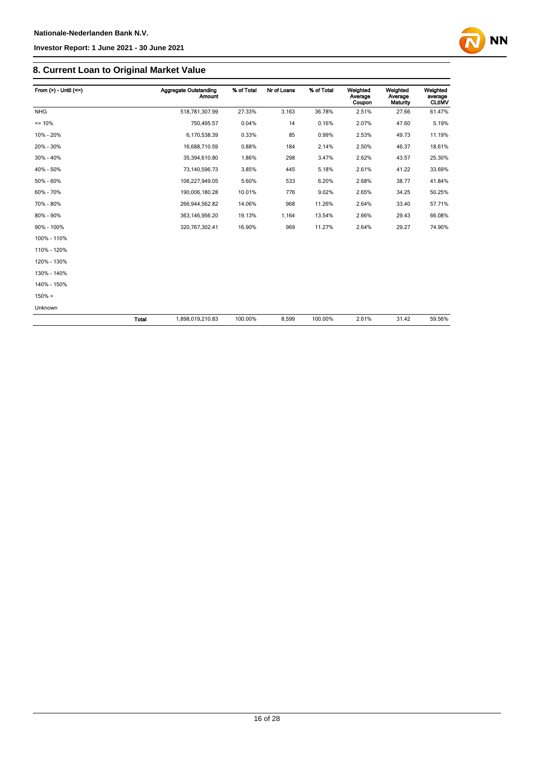

### **8. Current Loan to Original Market Value**

| From $(>)$ - Until $(<=)$ |       | <b>Aggregate Outstanding</b><br><b>Amount</b> | % of Total | Nr of Loans | % of Total | Weighted<br>Average<br>Coupon | Weighted<br>Average<br><b>Maturity</b> | Weighted<br>average<br><b>CLtIMV</b> |
|---------------------------|-------|-----------------------------------------------|------------|-------------|------------|-------------------------------|----------------------------------------|--------------------------------------|
| <b>NHG</b>                |       | 518,781,307.99                                | 27.33%     | 3,163       | 36.78%     | 2.51%                         | 27.66                                  | 61.47%                               |
| $= 10%$                   |       | 750,495.57                                    | 0.04%      | 14          | 0.16%      | 2.07%                         | 47.60                                  | 5.19%                                |
| 10% - 20%                 |       | 6,170,538.39                                  | 0.33%      | 85          | 0.99%      | 2.53%                         | 49.73                                  | 11.19%                               |
| 20% - 30%                 |       | 16,688,710.59                                 | 0.88%      | 184         | 2.14%      | 2.50%                         | 46.37                                  | 18.61%                               |
| 30% - 40%                 |       | 35,394,610.80                                 | 1.86%      | 298         | 3.47%      | 2.62%                         | 43.57                                  | 25.30%                               |
| 40% - 50%                 |       | 73,140,596.73                                 | 3.85%      | 445         | 5.18%      | 2.61%                         | 41.22                                  | 33.69%                               |
| 50% - 60%                 |       | 106,227,949.05                                | 5.60%      | 533         | 6.20%      | 2.68%                         | 38.77                                  | 41.84%                               |
| 60% - 70%                 |       | 190,006,180.28                                | 10.01%     | 776         | 9.02%      | 2.65%                         | 34.25                                  | 50.25%                               |
| 70% - 80%                 |       | 266,944,562.82                                | 14.06%     | 968         | 11.26%     | 2.64%                         | 33.40                                  | 57.71%                               |
| 80% - 90%                 |       | 363, 146, 956. 20                             | 19.13%     | 1,164       | 13.54%     | 2.66%                         | 29.43                                  | 66.08%                               |
| 90% - 100%                |       | 320,767,302.41                                | 16.90%     | 969         | 11.27%     | 2.64%                         | 29.27                                  | 74.90%                               |
| 100% - 110%               |       |                                               |            |             |            |                               |                                        |                                      |
| 110% - 120%               |       |                                               |            |             |            |                               |                                        |                                      |
| 120% - 130%               |       |                                               |            |             |            |                               |                                        |                                      |
| 130% - 140%               |       |                                               |            |             |            |                               |                                        |                                      |
| 140% - 150%               |       |                                               |            |             |            |                               |                                        |                                      |
| $150\% >$                 |       |                                               |            |             |            |                               |                                        |                                      |
| Unknown                   |       |                                               |            |             |            |                               |                                        |                                      |
|                           | Total | 1,898,019,210.83                              | 100.00%    | 8,599       | 100.00%    | 2.61%                         | 31.42                                  | 59.56%                               |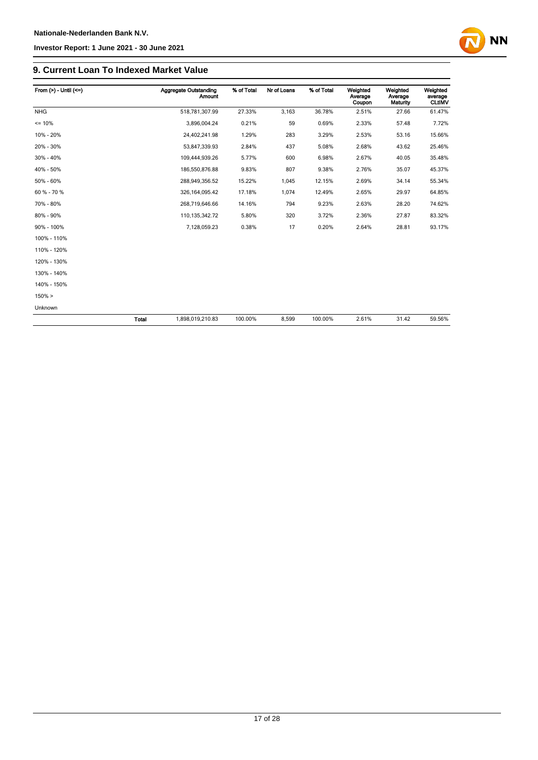

### **9. Current Loan To Indexed Market Value**

| From $(>)$ - Until $(<=)$ |       | <b>Aggregate Outstanding</b><br><b>Amount</b> | % of Total | Nr of Loans | % of Total | Weighted<br>Average<br>Coupon | Weighted<br>Average<br>Maturity | Weighted<br>average<br><b>CLtIMV</b> |
|---------------------------|-------|-----------------------------------------------|------------|-------------|------------|-------------------------------|---------------------------------|--------------------------------------|
| <b>NHG</b>                |       | 518,781,307.99                                | 27.33%     | 3,163       | 36.78%     | 2.51%                         | 27.66                           | 61.47%                               |
| $= 10%$                   |       | 3,896,004.24                                  | 0.21%      | 59          | 0.69%      | 2.33%                         | 57.48                           | 7.72%                                |
| 10% - 20%                 |       | 24,402,241.98                                 | 1.29%      | 283         | 3.29%      | 2.53%                         | 53.16                           | 15.66%                               |
| 20% - 30%                 |       | 53,847,339.93                                 | 2.84%      | 437         | 5.08%      | 2.68%                         | 43.62                           | 25.46%                               |
| 30% - 40%                 |       | 109,444,939.26                                | 5.77%      | 600         | 6.98%      | 2.67%                         | 40.05                           | 35.48%                               |
| 40% - 50%                 |       | 186,550,876.88                                | 9.83%      | 807         | 9.38%      | 2.76%                         | 35.07                           | 45.37%                               |
| 50% - 60%                 |       | 288,949,356.52                                | 15.22%     | 1,045       | 12.15%     | 2.69%                         | 34.14                           | 55.34%                               |
| 60 % - 70 %               |       | 326, 164, 095.42                              | 17.18%     | 1,074       | 12.49%     | 2.65%                         | 29.97                           | 64.85%                               |
| 70% - 80%                 |       | 268,719,646.66                                | 14.16%     | 794         | 9.23%      | 2.63%                         | 28.20                           | 74.62%                               |
| 80% - 90%                 |       | 110, 135, 342. 72                             | 5.80%      | 320         | 3.72%      | 2.36%                         | 27.87                           | 83.32%                               |
| 90% - 100%                |       | 7,128,059.23                                  | 0.38%      | 17          | 0.20%      | 2.64%                         | 28.81                           | 93.17%                               |
| 100% - 110%               |       |                                               |            |             |            |                               |                                 |                                      |
| 110% - 120%               |       |                                               |            |             |            |                               |                                 |                                      |
| 120% - 130%               |       |                                               |            |             |            |                               |                                 |                                      |
| 130% - 140%               |       |                                               |            |             |            |                               |                                 |                                      |
| 140% - 150%               |       |                                               |            |             |            |                               |                                 |                                      |
| $150\% >$                 |       |                                               |            |             |            |                               |                                 |                                      |
| Unknown                   |       |                                               |            |             |            |                               |                                 |                                      |
|                           | Total | 1,898,019,210.83                              | 100.00%    | 8,599       | 100.00%    | 2.61%                         | 31.42                           | 59.56%                               |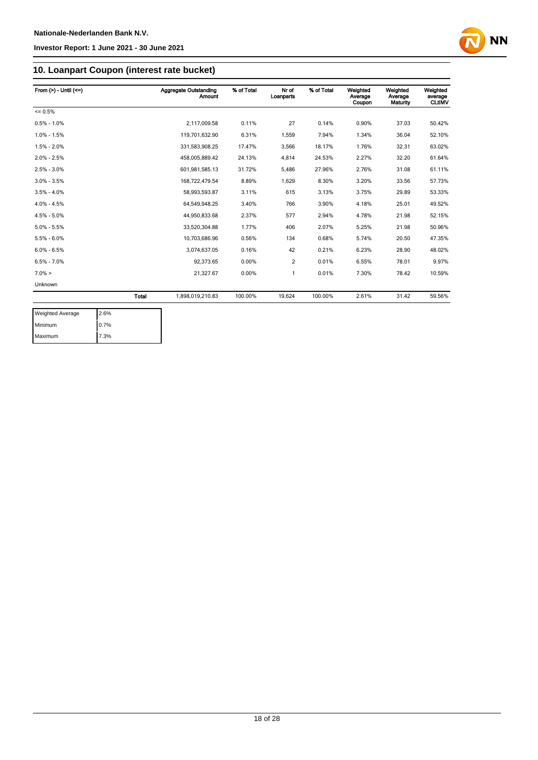

### **10. Loanpart Coupon (interest rate bucket)**

| From $(>) -$ Until $(<=)$ |              | Aggregate Outstanding<br><b>Amount</b> | % of Total | Nr of<br>Loanparts | % of Total | Weighted<br>Average<br>Coupon | Weighted<br>Average<br>Maturity | Weighted<br>average<br><b>CLtIMV</b> |
|---------------------------|--------------|----------------------------------------|------------|--------------------|------------|-------------------------------|---------------------------------|--------------------------------------|
| $= 0.5%$                  |              |                                        |            |                    |            |                               |                                 |                                      |
| $0.5\% - 1.0\%$           |              | 2,117,009.58                           | 0.11%      | 27                 | 0.14%      | 0.90%                         | 37.03                           | 50.42%                               |
| $1.0\% - 1.5\%$           |              | 119,701,632.90                         | 6.31%      | 1,559              | 7.94%      | 1.34%                         | 36.04                           | 52.10%                               |
| $1.5\% - 2.0\%$           |              | 331,583,908.25                         | 17.47%     | 3,566              | 18.17%     | 1.76%                         | 32.31                           | 63.02%                               |
| $2.0\% - 2.5\%$           |              | 458,005,889.42                         | 24.13%     | 4,814              | 24.53%     | 2.27%                         | 32.20                           | 61.64%                               |
| $2.5\% - 3.0\%$           |              | 601,981,585.13                         | 31.72%     | 5,486              | 27.96%     | 2.76%                         | 31.08                           | 61.11%                               |
| $3.0\% - 3.5\%$           |              | 168,722,479.54                         | 8.89%      | 1,629              | 8.30%      | 3.20%                         | 33.56                           | 57.73%                               |
| $3.5\% - 4.0\%$           |              | 58,993,593.87                          | 3.11%      | 615                | 3.13%      | 3.75%                         | 29.89                           | 53.33%                               |
| $4.0\% - 4.5\%$           |              | 64.549.948.25                          | 3.40%      | 766                | 3.90%      | 4.18%                         | 25.01                           | 49.52%                               |
| $4.5\% - 5.0\%$           |              | 44.950.833.68                          | 2.37%      | 577                | 2.94%      | 4.78%                         | 21.98                           | 52.15%                               |
| $5.0\% - 5.5\%$           |              | 33,520,304.88                          | 1.77%      | 406                | 2.07%      | 5.25%                         | 21.98                           | 50.96%                               |
| $5.5\% - 6.0\%$           |              | 10,703,686.96                          | 0.56%      | 134                | 0.68%      | 5.74%                         | 20.50                           | 47.35%                               |
| $6.0\% - 6.5\%$           |              | 3,074,637.05                           | 0.16%      | 42                 | 0.21%      | 6.23%                         | 28.90                           | 48.02%                               |
| $6.5\% - 7.0\%$           |              | 92,373.65                              | 0.00%      | 2                  | 0.01%      | 6.55%                         | 78.01                           | 9.97%                                |
| $7.0\% >$                 |              | 21,327.67                              | 0.00%      | 1                  | 0.01%      | 7.30%                         | 78.42                           | 10.59%                               |
| Unknown                   |              |                                        |            |                    |            |                               |                                 |                                      |
|                           | <b>Total</b> | 1,898,019,210.83                       | 100.00%    | 19.624             | 100.00%    | 2.61%                         | 31.42                           | 59.56%                               |

| <b>Weighted Average</b> | 2.6% |
|-------------------------|------|
| Minimum                 | 0.7% |
| Maximum                 | 7.3% |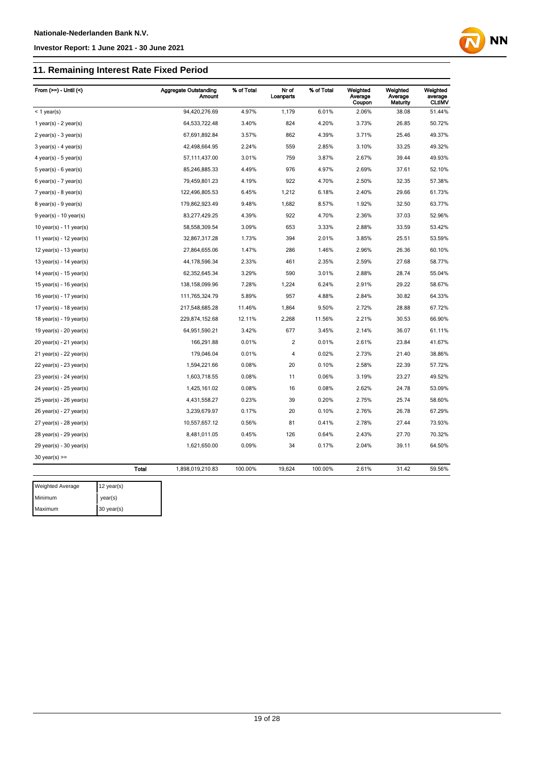Maximum 30 year(s)

#### **Investor Report: 1 June 2021 - 30 June 2021**

### **11. Remaining Interest Rate Fixed Period**

| From $(>=) -$ Until $($     |              | <b>Aggregate Outstanding</b><br>Amount | % of Total | Nr of<br>Loanparts | % of Total | Weighted<br>Average<br>Coupon | Weighted<br>Average<br>Maturity | Weighted<br>average<br><b>CLtIMV</b> |
|-----------------------------|--------------|----------------------------------------|------------|--------------------|------------|-------------------------------|---------------------------------|--------------------------------------|
| $<$ 1 year(s)               |              | 94,420,276.69                          | 4.97%      | 1,179              | 6.01%      | 2.06%                         | 38.08                           | 51.44%                               |
| 1 year(s) - $2$ year(s)     |              | 64,533,722.48                          | 3.40%      | 824                | 4.20%      | 3.73%                         | 26.85                           | 50.72%                               |
| $2$ year(s) - 3 year(s)     |              | 67,691,892.84                          | 3.57%      | 862                | 4.39%      | 3.71%                         | 25.46                           | 49.37%                               |
| $3$ year(s) - 4 year(s)     |              | 42,498,664.95                          | 2.24%      | 559                | 2.85%      | 3.10%                         | 33.25                           | 49.32%                               |
| 4 year(s) - 5 year(s)       |              | 57,111,437.00                          | 3.01%      | 759                | 3.87%      | 2.67%                         | 39.44                           | 49.93%                               |
| $5$ year(s) - 6 year(s)     |              | 85,246,885.33                          | 4.49%      | 976                | 4.97%      | 2.69%                         | 37.61                           | 52.10%                               |
| $6$ year(s) - 7 year(s)     |              | 79,459,801.23                          | 4.19%      | 922                | 4.70%      | 2.50%                         | 32.35                           | 57.38%                               |
| $7$ year(s) - 8 year(s)     |              | 122,496,805.53                         | 6.45%      | 1,212              | 6.18%      | 2.40%                         | 29.66                           | 61.73%                               |
| $8$ year(s) - $9$ year(s)   |              | 179,862,923.49                         | 9.48%      | 1,682              | 8.57%      | 1.92%                         | 32.50                           | 63.77%                               |
| $9$ year(s) - 10 year(s)    |              | 83,277,429.25                          | 4.39%      | 922                | 4.70%      | 2.36%                         | 37.03                           | 52.96%                               |
| 10 year(s) - 11 year(s)     |              | 58,558,309.54                          | 3.09%      | 653                | 3.33%      | 2.88%                         | 33.59                           | 53.42%                               |
| 11 year(s) - $12$ year(s)   |              | 32,867,317.28                          | 1.73%      | 394                | 2.01%      | 3.85%                         | 25.51                           | 53.59%                               |
| 12 year(s) - 13 year(s)     |              | 27,864,655.06                          | 1.47%      | 286                | 1.46%      | 2.96%                         | 26.36                           | 60.10%                               |
| 13 year(s) - $14$ year(s)   |              | 44, 178, 596. 34                       | 2.33%      | 461                | 2.35%      | 2.59%                         | 27.68                           | 58.77%                               |
| 14 year(s) - 15 year(s)     |              | 62,352,645.34                          | 3.29%      | 590                | 3.01%      | 2.88%                         | 28.74                           | 55.04%                               |
| 15 year(s) - 16 year(s)     |              | 138, 158, 099. 96                      | 7.28%      | 1,224              | 6.24%      | 2.91%                         | 29.22                           | 58.67%                               |
| 16 year(s) - $17$ year(s)   |              | 111,765,324.79                         | 5.89%      | 957                | 4.88%      | 2.84%                         | 30.82                           | 64.33%                               |
| 17 year(s) - $18$ year(s)   |              | 217,548,685.28                         | 11.46%     | 1,864              | 9.50%      | 2.72%                         | 28.88                           | 67.72%                               |
| 18 year(s) - 19 year(s)     |              | 229,874,152.68                         | 12.11%     | 2,268              | 11.56%     | 2.21%                         | 30.53                           | 66.90%                               |
| 19 year(s) - 20 year(s)     |              | 64,951,590.21                          | 3.42%      | 677                | 3.45%      | 2.14%                         | 36.07                           | 61.11%                               |
| 20 year(s) - 21 year(s)     |              | 166,291.88                             | 0.01%      | $\overline{2}$     | 0.01%      | 2.61%                         | 23.84                           | 41.67%                               |
| $21$ year(s) - $22$ year(s) |              | 179,046.04                             | 0.01%      | $\overline{4}$     | 0.02%      | 2.73%                         | 21.40                           | 38.86%                               |
| $22$ year(s) - $23$ year(s) |              | 1,594,221.66                           | 0.08%      | 20                 | 0.10%      | 2.58%                         | 22.39                           | 57.72%                               |
| $23$ year(s) - $24$ year(s) |              | 1,603,718.55                           | 0.08%      | 11                 | 0.06%      | 3.19%                         | 23.27                           | 49.52%                               |
| $24$ year(s) - $25$ year(s) |              | 1,425,161.02                           | 0.08%      | 16                 | 0.08%      | 2.62%                         | 24.78                           | 53.09%                               |
| $25$ year(s) - $26$ year(s) |              | 4,431,558.27                           | 0.23%      | 39                 | 0.20%      | 2.75%                         | 25.74                           | 58.60%                               |
| 26 year(s) - 27 year(s)     |              | 3,239,679.97                           | 0.17%      | 20                 | 0.10%      | 2.76%                         | 26.78                           | 67.29%                               |
| 27 year(s) - 28 year(s)     |              | 10,557,657.12                          | 0.56%      | 81                 | 0.41%      | 2.78%                         | 27.44                           | 73.93%                               |
| 28 year(s) - 29 year(s)     |              | 8,481,011.05                           | 0.45%      | 126                | 0.64%      | 2.43%                         | 27.70                           | 70.32%                               |
| $29$ year(s) - 30 year(s)   |              | 1,621,650.00                           | 0.09%      | 34                 | 0.17%      | 2.04%                         | 39.11                           | 64.50%                               |
| $30$ year(s) $>=$           |              |                                        |            |                    |            |                               |                                 |                                      |
|                             | <b>Total</b> | 1,898,019,210.83                       | 100.00%    | 19,624             | 100.00%    | 2.61%                         | 31.42                           | 59.56%                               |
| <b>Weighted Average</b>     | 12 year(s)   |                                        |            |                    |            |                               |                                 |                                      |
| Minimum                     |              |                                        |            |                    |            |                               |                                 |                                      |
|                             | year(s)      |                                        |            |                    |            |                               |                                 |                                      |

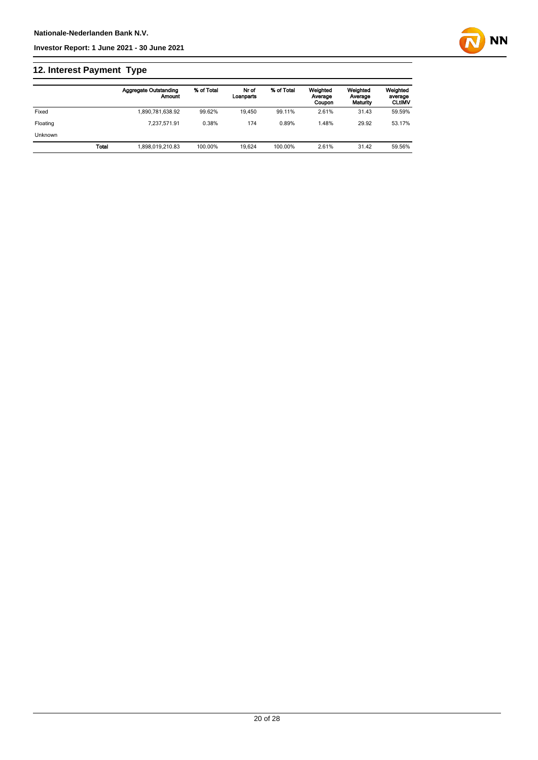## **12. Interest Payment Type**

|                |              | <b>Aggregate Outstanding</b><br>Amount | % of Total | Nr of<br>Loanparts | % of Total | Weighted<br>Average<br>Coupon | Weighted<br>Average<br>Maturity | Weighted<br>average<br><b>CLtIMV</b> |
|----------------|--------------|----------------------------------------|------------|--------------------|------------|-------------------------------|---------------------------------|--------------------------------------|
| Fixed          |              | 1,890,781,638.92                       | 99.62%     | 19.450             | 99.11%     | 2.61%                         | 31.43                           | 59.59%                               |
| Floating       |              | 7.237.571.91                           | 0.38%      | 174                | 0.89%      | 1.48%                         | 29.92                           | 53.17%                               |
| <b>Unknown</b> |              |                                        |            |                    |            |                               |                                 |                                      |
|                | <b>Total</b> | 1.898.019.210.83                       | 100.00%    | 19.624             | 100.00%    | 2.61%                         | 31.42                           | 59.56%                               |

**NN**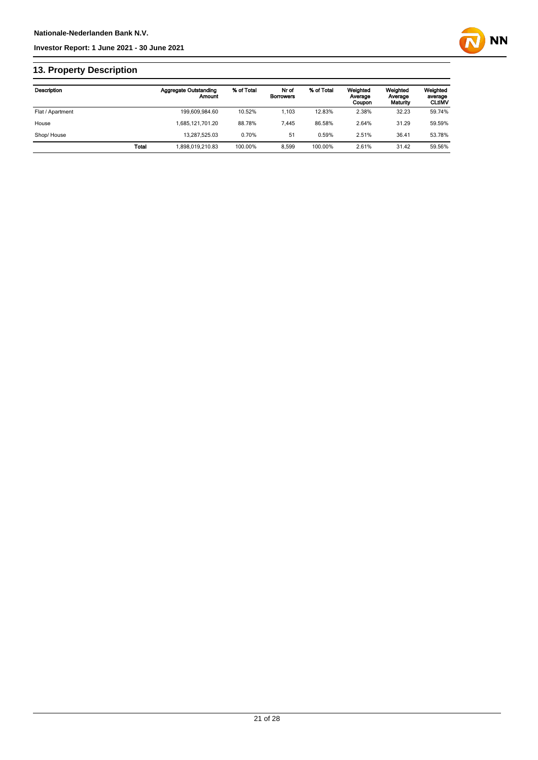

### **13. Property Description**

| Description      |              | <b>Aggregate Outstanding</b><br>Amount | % of Total | Nr of<br><b>Borrowers</b> | % of Total | Weighted<br>Average<br>Coupon | Weighted<br>Average<br>Maturity | Weighted<br>average<br><b>CLUMV</b> |
|------------------|--------------|----------------------------------------|------------|---------------------------|------------|-------------------------------|---------------------------------|-------------------------------------|
| Flat / Apartment |              | 199.609.984.60                         | 10.52%     | 1.103                     | 12.83%     | 2.38%                         | 32.23                           | 59.74%                              |
| House            |              | 1.685.121.701.20                       | 88.78%     | 7.445                     | 86.58%     | 2.64%                         | 31.29                           | 59.59%                              |
| Shop/House       |              | 13.287.525.03                          | 0.70%      | 51                        | 0.59%      | 2.51%                         | 36.41                           | 53.78%                              |
|                  | <b>Total</b> | 898.019.210.83                         | 100.00%    | 8.599                     | 100.00%    | 2.61%                         | 31.42                           | 59.56%                              |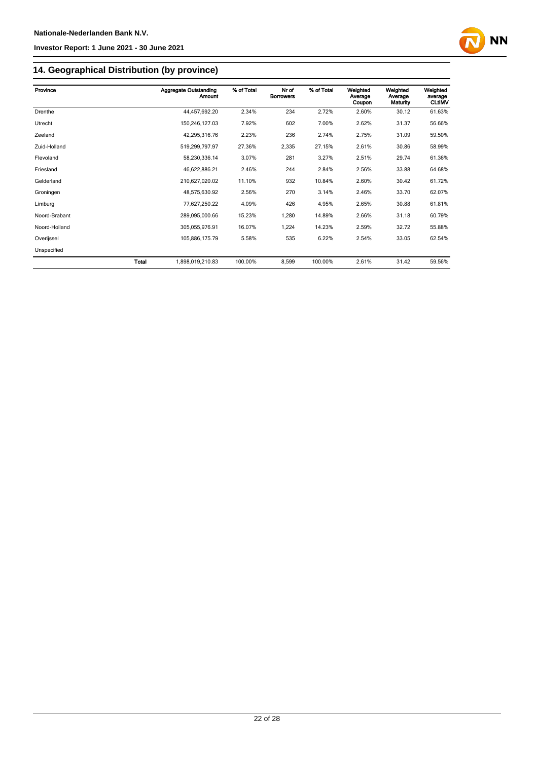

### **14. Geographical Distribution (by province)**

| Province      |       | <b>Aggregate Outstanding</b><br><b>Amount</b> | % of Total | Nr of<br><b>Borrowers</b> | % of Total | Weighted<br>Average<br>Coupon | Weighted<br>Average<br>Maturity | Weighted<br>average<br><b>CLtIMV</b> |
|---------------|-------|-----------------------------------------------|------------|---------------------------|------------|-------------------------------|---------------------------------|--------------------------------------|
| Drenthe       |       | 44,457,692.20                                 | 2.34%      | 234                       | 2.72%      | 2.60%                         | 30.12                           | 61.63%                               |
| Utrecht       |       | 150,246,127.03                                | 7.92%      | 602                       | 7.00%      | 2.62%                         | 31.37                           | 56.66%                               |
| Zeeland       |       | 42,295,316.76                                 | 2.23%      | 236                       | 2.74%      | 2.75%                         | 31.09                           | 59.50%                               |
| Zuid-Holland  |       | 519,299,797.97                                | 27.36%     | 2,335                     | 27.15%     | 2.61%                         | 30.86                           | 58.99%                               |
| Flevoland     |       | 58,230,336.14                                 | 3.07%      | 281                       | 3.27%      | 2.51%                         | 29.74                           | 61.36%                               |
| Friesland     |       | 46,622,886.21                                 | 2.46%      | 244                       | 2.84%      | 2.56%                         | 33.88                           | 64.68%                               |
| Gelderland    |       | 210,627,020.02                                | 11.10%     | 932                       | 10.84%     | 2.60%                         | 30.42                           | 61.72%                               |
| Groningen     |       | 48,575,630.92                                 | 2.56%      | 270                       | 3.14%      | 2.46%                         | 33.70                           | 62.07%                               |
| Limburg       |       | 77,627,250.22                                 | 4.09%      | 426                       | 4.95%      | 2.65%                         | 30.88                           | 61.81%                               |
| Noord-Brabant |       | 289,095,000.66                                | 15.23%     | 1,280                     | 14.89%     | 2.66%                         | 31.18                           | 60.79%                               |
| Noord-Holland |       | 305,055,976.91                                | 16.07%     | 1,224                     | 14.23%     | 2.59%                         | 32.72                           | 55.88%                               |
| Overijssel    |       | 105,886,175.79                                | 5.58%      | 535                       | 6.22%      | 2.54%                         | 33.05                           | 62.54%                               |
| Unspecified   |       |                                               |            |                           |            |                               |                                 |                                      |
|               | Total | 1,898,019,210.83                              | 100.00%    | 8,599                     | 100.00%    | 2.61%                         | 31.42                           | 59.56%                               |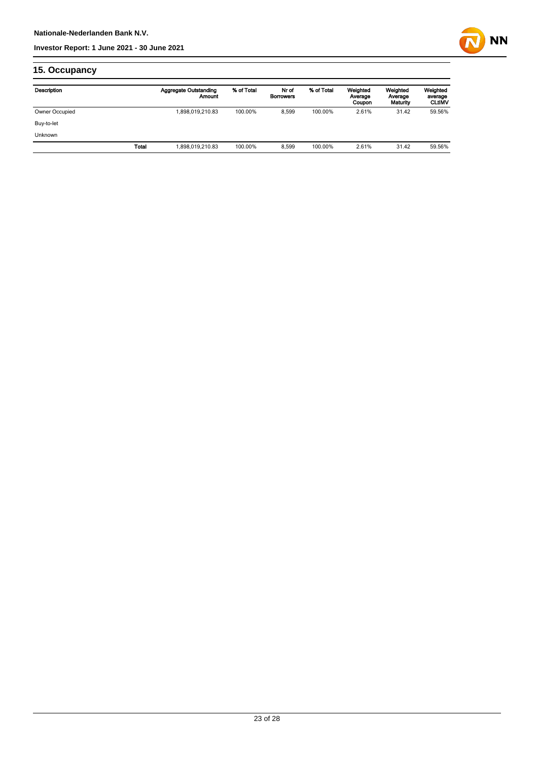

## **15. Occupancy**

| Description    |              | <b>Aggregate Outstanding</b><br>Amount | % of Total | Nr of<br><b>Borrowers</b> | % of Total | Weighted<br>Average<br>Coupon | Weighted<br>Average<br>Maturity | Weighted<br>average<br><b>CLUMV</b> |
|----------------|--------------|----------------------------------------|------------|---------------------------|------------|-------------------------------|---------------------------------|-------------------------------------|
| Owner Occupied |              | 1,898,019,210.83                       | 100.00%    | 8,599                     | 100.00%    | 2.61%                         | 31.42                           | 59.56%                              |
| Buy-to-let     |              |                                        |            |                           |            |                               |                                 |                                     |
| <b>Unknown</b> |              |                                        |            |                           |            |                               |                                 |                                     |
|                | <b>Total</b> | 1,898,019,210.83                       | 100.00%    | 8.599                     | 100.00%    | 2.61%                         | 31.42                           | 59.56%                              |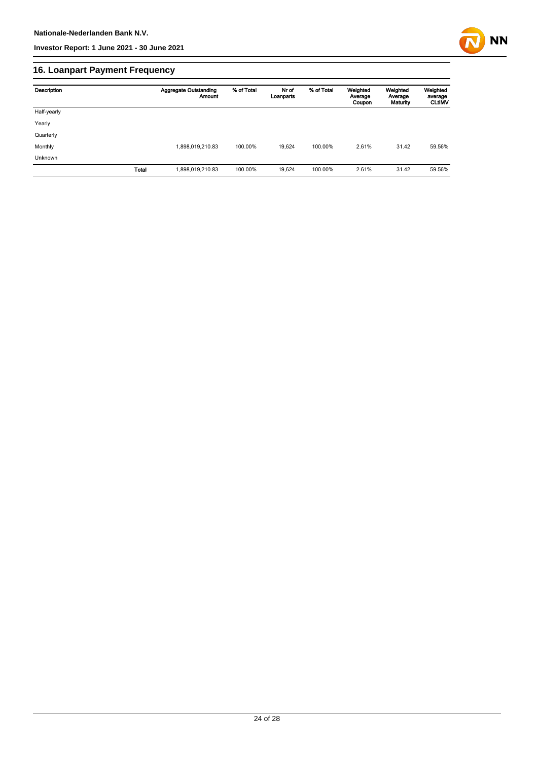

## **16. Loanpart Payment Frequency**

| Description | <b>Aggregate Outstanding</b><br><b>Amount</b> | % of Total | Nr of<br>Loanparts | % of Total | Weighted<br>Average<br>Coupon | Weighted<br>Average<br>Maturity | Weighted<br>average<br><b>CLtIMV</b> |
|-------------|-----------------------------------------------|------------|--------------------|------------|-------------------------------|---------------------------------|--------------------------------------|
| Half-yearly |                                               |            |                    |            |                               |                                 |                                      |
| Yearly      |                                               |            |                    |            |                               |                                 |                                      |
| Quarterly   |                                               |            |                    |            |                               |                                 |                                      |
| Monthly     | 1,898,019,210.83                              | 100.00%    | 19.624             | 100.00%    | 2.61%                         | 31.42                           | 59.56%                               |
| Unknown     |                                               |            |                    |            |                               |                                 |                                      |
| Total       | 1,898,019,210.83                              | 100.00%    | 19,624             | 100.00%    | 2.61%                         | 31.42                           | 59.56%                               |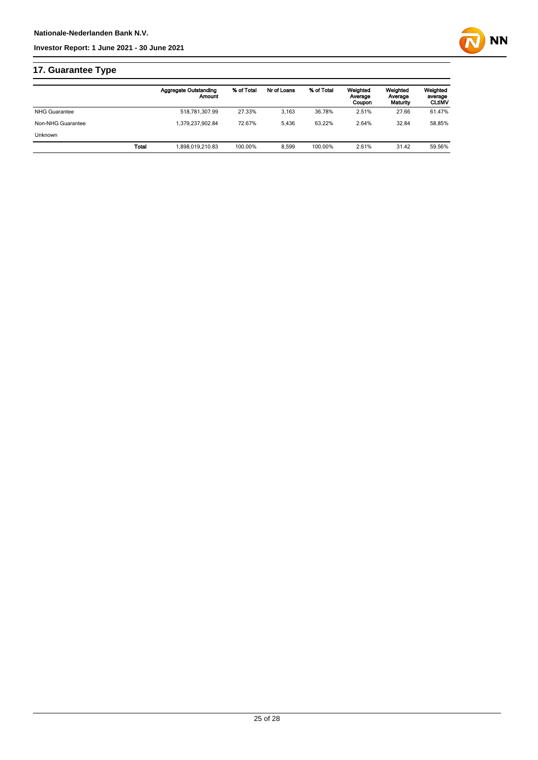

## **17. Guarantee Type**

|                      | <b>Aggregate Outstanding</b><br>Amount | % of Total | Nr of Loans | % of Total | Weighted<br>Average<br>Coupon | Weighted<br>Average<br>Maturity | Weighted<br>average<br><b>CLtIMV</b> |
|----------------------|----------------------------------------|------------|-------------|------------|-------------------------------|---------------------------------|--------------------------------------|
| <b>NHG Guarantee</b> | 518,781,307.99                         | 27.33%     | 3.163       | 36.78%     | 2.51%                         | 27.66                           | 61.47%                               |
| Non-NHG Guarantee    | 1.379.237.902.84                       | 72.67%     | 5.436       | 63.22%     | 2.64%                         | 32.84                           | 58.85%                               |
| <b>Unknown</b>       |                                        |            |             |            |                               |                                 |                                      |
|                      | 1.898.019.210.83<br>Total              | 100.00%    | 8.599       | 100.00%    | 2.61%                         | 31.42                           | 59.56%                               |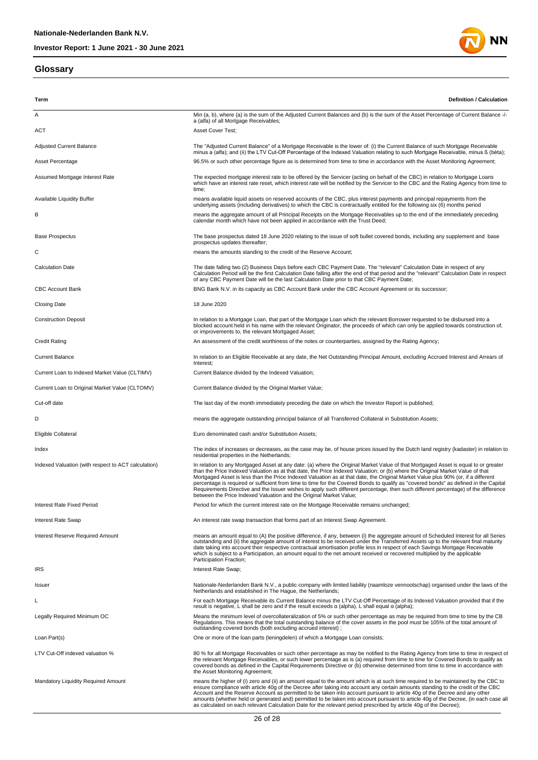### **Glossary**



| Term                                                | Definition / Calculation                                                                                                                                                                                                                                                                                                                                                                                                                                                                                                                                                                                                                                                                                                                                    |
|-----------------------------------------------------|-------------------------------------------------------------------------------------------------------------------------------------------------------------------------------------------------------------------------------------------------------------------------------------------------------------------------------------------------------------------------------------------------------------------------------------------------------------------------------------------------------------------------------------------------------------------------------------------------------------------------------------------------------------------------------------------------------------------------------------------------------------|
| Α                                                   | Min (a, b), where (a) is the sum of the Adjusted Current Balances and (b) is the sum of the Asset Percentage of Current Balance -/-<br>a (alfa) of all Mortgage Receivables;                                                                                                                                                                                                                                                                                                                                                                                                                                                                                                                                                                                |
| <b>ACT</b>                                          | Asset Cover Test;                                                                                                                                                                                                                                                                                                                                                                                                                                                                                                                                                                                                                                                                                                                                           |
| <b>Adjusted Current Balance</b>                     | The "Adjusted Current Balance" of a Mortgage Receivable is the lower of: (i) the Current Balance of such Mortgage Receivable<br>minus a (alfa); and (ii) the LTV Cut-Off Percentage of the Indexed Valuation relating to such Mortgage Receivable, minus ß (bèta);                                                                                                                                                                                                                                                                                                                                                                                                                                                                                          |
| Asset Percentage                                    | 96.5% or such other percentage figure as is determined from time to time in accordance with the Asset Monitoring Agreement;                                                                                                                                                                                                                                                                                                                                                                                                                                                                                                                                                                                                                                 |
| Assumed Mortgage Interest Rate                      | The expected mortgage interest rate to be offered by the Servicer (acting on behalf of the CBC) in relation to Mortgage Loans<br>which have an interest rate reset, which interest rate will be notified by the Servicer to the CBC and the Rating Agency from time to<br>time;                                                                                                                                                                                                                                                                                                                                                                                                                                                                             |
| Available Liquidity Buffer                          | means available liquid assets on reserved accounts of the CBC, plus interest payments and principal repayments from the<br>underlying assets (including derivatives) to which the CBC is contractually entitled for the following six (6) months period                                                                                                                                                                                                                                                                                                                                                                                                                                                                                                     |
| В                                                   | means the aggregate amount of all Principal Receipts on the Mortgage Receivables up to the end of the immediately preceding<br>calendar month which have not been applied in accordance with the Trust Deed;                                                                                                                                                                                                                                                                                                                                                                                                                                                                                                                                                |
| <b>Base Prospectus</b>                              | The base prospectus dated 18 June 2020 relating to the issue of soft bullet covered bonds, including any supplement and base<br>prospectus updates thereafter;                                                                                                                                                                                                                                                                                                                                                                                                                                                                                                                                                                                              |
| С                                                   | means the amounts standing to the credit of the Reserve Account;                                                                                                                                                                                                                                                                                                                                                                                                                                                                                                                                                                                                                                                                                            |
| <b>Calculation Date</b>                             | The date falling two (2) Business Days before each CBC Payment Date. The "relevant" Calculation Date in respect of any<br>Calculation Period will be the first Calculation Date falling after the end of that period and the "relevant" Calculation Date in respect<br>of any CBC Payment Date will be the last Calculation Date prior to that CBC Payment Date;                                                                                                                                                                                                                                                                                                                                                                                            |
| <b>CBC Account Bank</b>                             | BNG Bank N.V. in its capacity as CBC Account Bank under the CBC Account Agreement or its successor;                                                                                                                                                                                                                                                                                                                                                                                                                                                                                                                                                                                                                                                         |
| <b>Closing Date</b>                                 | 18 June 2020                                                                                                                                                                                                                                                                                                                                                                                                                                                                                                                                                                                                                                                                                                                                                |
| <b>Construction Deposit</b>                         | In relation to a Mortgage Loan, that part of the Mortgage Loan which the relevant Borrower requested to be disbursed into a<br>blocked account held in his name with the relevant Originator, the proceeds of which can only be applied towards construction of,<br>or improvements to, the relevant Mortgaged Asset;                                                                                                                                                                                                                                                                                                                                                                                                                                       |
| <b>Credit Rating</b>                                | An assessment of the credit worthiness of the notes or counterparties, assigned by the Rating Agency;                                                                                                                                                                                                                                                                                                                                                                                                                                                                                                                                                                                                                                                       |
| <b>Current Balance</b>                              | In relation to an Eligible Receivable at any date, the Net Outstanding Principal Amount, excluding Accrued Interest and Arrears of<br>Interest:                                                                                                                                                                                                                                                                                                                                                                                                                                                                                                                                                                                                             |
| Current Loan to Indexed Market Value (CLTIMV)       | Current Balance divided by the Indexed Valuation;                                                                                                                                                                                                                                                                                                                                                                                                                                                                                                                                                                                                                                                                                                           |
| Current Loan to Original Market Value (CLTOMV)      | Current Balance divided by the Original Market Value;                                                                                                                                                                                                                                                                                                                                                                                                                                                                                                                                                                                                                                                                                                       |
| Cut-off date                                        | The last day of the month immediately preceding the date on which the Investor Report is published;                                                                                                                                                                                                                                                                                                                                                                                                                                                                                                                                                                                                                                                         |
| D                                                   | means the aggregate outstanding principal balance of all Transferred Collateral in Substitution Assets;                                                                                                                                                                                                                                                                                                                                                                                                                                                                                                                                                                                                                                                     |
| Eligible Collateral                                 | Euro denominated cash and/or Substitution Assets;                                                                                                                                                                                                                                                                                                                                                                                                                                                                                                                                                                                                                                                                                                           |
| Index                                               | The index of increases or decreases, as the case may be, of house prices issued by the Dutch land registry (kadaster) in relation to<br>residential properties in the Netherlands;                                                                                                                                                                                                                                                                                                                                                                                                                                                                                                                                                                          |
| Indexed Valuation (with respect to ACT calculation) | In relation to any Mortgaged Asset at any date: (a) where the Original Market Value of that Mortgaged Asset is equal to or greater<br>than the Price Indexed Valuation as at that date, the Price Indexed Valuation; or (b) where the Original Market Value of that<br>Mortgaged Asset is less than the Price Indexed Valuation as at that date, the Original Market Value plus 90% (or, if a different<br>percentage is required or sufficient from time to time for the Covered Bonds to qualify as "covered bonds" as defined in the Capital<br>Requirements Directive and the Issuer wishes to apply such different percentage, then such different percentage) of the difference<br>between the Price Indexed Valuation and the Original Market Value; |
| Interest Rate Fixed Period                          | Period for which the current interest rate on the Mortgage Receivable remains unchanged;                                                                                                                                                                                                                                                                                                                                                                                                                                                                                                                                                                                                                                                                    |
| Interest Rate Swap                                  | An interest rate swap transaction that forms part of an Interest Swap Agreement.                                                                                                                                                                                                                                                                                                                                                                                                                                                                                                                                                                                                                                                                            |
| Interest Reserve Required Amount                    | means an amount equal to (A) the positive difference, if any, between (i) the aggregate amount of Scheduled Interest for all Series<br>outstanding and (ii) the aggregate amount of interest to be received under the Transferred Assets up to the relevant final maturity<br>date taking into account their respective contractual amortisation profile less in respect of each Savings Mortgage Receivable<br>which is subject to a Participation, an amount equal to the net amount received or recovered multiplied by the applicable<br>Participation Fraction;                                                                                                                                                                                        |
| <b>IRS</b>                                          | Interest Rate Swap;                                                                                                                                                                                                                                                                                                                                                                                                                                                                                                                                                                                                                                                                                                                                         |
| Issuer                                              | Nationale-Nederlanden Bank N.V., a public company with limited liability (naamloze vennootschap) organised under the laws of the<br>Netherlands and established in The Haque, the Netherlands;                                                                                                                                                                                                                                                                                                                                                                                                                                                                                                                                                              |
| L                                                   | For each Mortgage Receivable its Current Balance minus the LTV Cut-Off Percentage of its Indexed Valuation provided that if the<br>result is negative, L shall be zero and if the result exceeds $\alpha$ (alpha), L shall equal $\alpha$ (alpha);                                                                                                                                                                                                                                                                                                                                                                                                                                                                                                          |
| Legally Required Minimum OC                         | Means the minimum level of overcollateralization of 5% or such other percentage as may be required from time to time by the CB<br>Regulations. This means that the total outstanding balance of the cover assets in the pool must be 105% of the total amount of<br>outstanding covered bonds (both excluding accrued interest);                                                                                                                                                                                                                                                                                                                                                                                                                            |
| Loan Part(s)                                        | One or more of the loan parts (leningdelen) of which a Mortgage Loan consists;                                                                                                                                                                                                                                                                                                                                                                                                                                                                                                                                                                                                                                                                              |
| LTV Cut-Off indexed valuation %                     | 80 % for all Mortgage Receivables or such other percentage as may be notified to the Rating Agency from time to time in respect of<br>the relevant Mortgage Receivables, or such lower percentage as is (a) required from time to time for Covered Bonds to qualify as<br>covered bonds as defined in the Capital Requirements Directive or (b) otherwise determined from time to time in accordance with<br>the Asset Monitoring Agreement;                                                                                                                                                                                                                                                                                                                |
| Mandatory Liquidity Required Amount                 | means the higher of (i) zero and (ii) an amount equal to the amount which is at such time required to be maintained by the CBC to<br>ensure compliance with article 40g of the Decree after taking into account any certain amounts standing to the credit of the CBC<br>Account and the Reserve Account as permitted to be taken into account pursuant to article 40g of the Decree and any other<br>amounts (whether held or generated and) permitted to be taken into account pursuant to article 40g of the Decree, (in each case all<br>as calculated on each relevant Calculation Date for the relevant period prescribed by article 40g of the Decree);                                                                                              |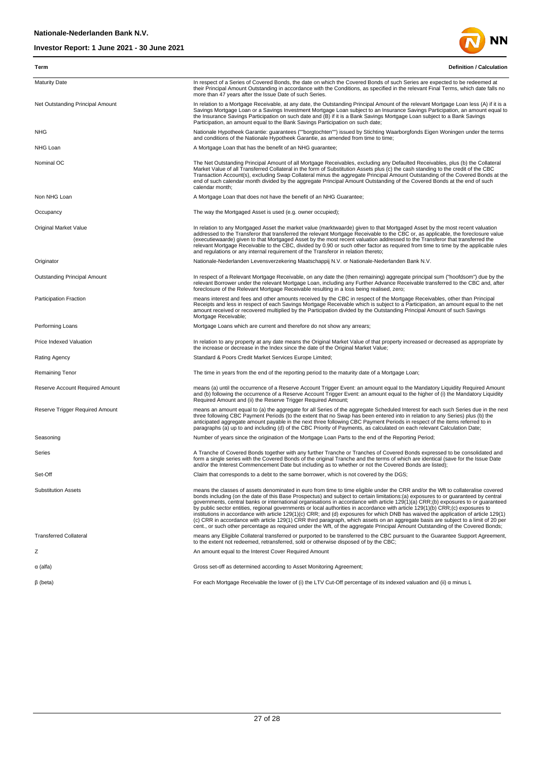

| Term                                | <b>Definition / Calculation</b>                                                                                                                                                                                                                                                                                                                                                                                                                                                                                                                                                                                                                                                                                                                                                                                                                                                                                                                              |
|-------------------------------------|--------------------------------------------------------------------------------------------------------------------------------------------------------------------------------------------------------------------------------------------------------------------------------------------------------------------------------------------------------------------------------------------------------------------------------------------------------------------------------------------------------------------------------------------------------------------------------------------------------------------------------------------------------------------------------------------------------------------------------------------------------------------------------------------------------------------------------------------------------------------------------------------------------------------------------------------------------------|
| <b>Maturity Date</b>                | In respect of a Series of Covered Bonds, the date on which the Covered Bonds of such Series are expected to be redeemed at<br>their Principal Amount Outstanding in accordance with the Conditions, as specified in the relevant Final Terms, which date falls no<br>more than 47 years after the Issue Date of such Series.                                                                                                                                                                                                                                                                                                                                                                                                                                                                                                                                                                                                                                 |
| Net Outstanding Principal Amount    | In relation to a Mortgage Receivable, at any date, the Outstanding Principal Amount of the relevant Mortgage Loan less (A) if it is a<br>Savings Mortgage Loan or a Savings Investment Mortgage Loan subject to an Insurance Savings Participation, an amount equal to<br>the Insurance Savings Participation on such date and (B) if it is a Bank Savings Mortgage Loan subject to a Bank Savings<br>Participation, an amount equal to the Bank Savings Participation on such date;                                                                                                                                                                                                                                                                                                                                                                                                                                                                         |
| <b>NHG</b>                          | Nationale Hypotheek Garantie: guarantees (""borgtochten"") issued by Stichting Waarborgfonds Eigen Woningen under the terms<br>and conditions of the Nationale Hypotheek Garantie, as amended from time to time;                                                                                                                                                                                                                                                                                                                                                                                                                                                                                                                                                                                                                                                                                                                                             |
| NHG Loan                            | A Mortgage Loan that has the benefit of an NHG guarantee;                                                                                                                                                                                                                                                                                                                                                                                                                                                                                                                                                                                                                                                                                                                                                                                                                                                                                                    |
| Nominal OC                          | The Net Outstanding Principal Amount of all Mortgage Receivables, excluding any Defaulted Receivables, plus (b) the Collateral<br>Market Value of all Transferred Collateral in the form of Substitution Assets plus (c) the cash standing to the credit of the CBC<br>Transaction Account(s), excluding Swap Collateral minus the aggregate Principal Amount Outstanding of the Covered Bonds at the<br>end of such calendar month divided by the aggregate Principal Amount Outstanding of the Covered Bonds at the end of such<br>calendar month:                                                                                                                                                                                                                                                                                                                                                                                                         |
| Non NHG Loan                        | A Mortgage Loan that does not have the benefit of an NHG Guarantee;                                                                                                                                                                                                                                                                                                                                                                                                                                                                                                                                                                                                                                                                                                                                                                                                                                                                                          |
| Occupancy                           | The way the Mortgaged Asset is used (e.g. owner occupied);                                                                                                                                                                                                                                                                                                                                                                                                                                                                                                                                                                                                                                                                                                                                                                                                                                                                                                   |
| Original Market Value               | In relation to any Mortgaged Asset the market value (marktwaarde) given to that Mortgaged Asset by the most recent valuation<br>addressed to the Transferor that transferred the relevant Mortgage Receivable to the CBC or, as applicable, the foreclosure value<br>(executiewaarde) given to that Mortgaged Asset by the most recent valuation addressed to the Transferor that transferred the<br>relevant Mortgage Receivable to the CBC, divided by 0.90 or such other factor as required from time to time by the applicable rules<br>and requlations or any internal requirement of the Transferor in relation thereto;                                                                                                                                                                                                                                                                                                                               |
| Originator                          | Nationale-Nederlanden Levensverzekering Maatschappij N.V. or Nationale-Nederlanden Bank N.V.                                                                                                                                                                                                                                                                                                                                                                                                                                                                                                                                                                                                                                                                                                                                                                                                                                                                 |
| <b>Outstanding Principal Amount</b> | In respect of a Relevant Mortgage Receivable, on any date the (then remaining) aggregate principal sum ("hoofdsom") due by the<br>relevant Borrower under the relevant Mortgage Loan, including any Further Advance Receivable transferred to the CBC and, after<br>foreclosure of the Relevant Mortgage Receivable resulting in a loss being realised, zero;                                                                                                                                                                                                                                                                                                                                                                                                                                                                                                                                                                                                |
| <b>Participation Fraction</b>       | means interest and fees and other amounts received by the CBC in respect of the Mortgage Receivables, other than Principal<br>Receipts and less in respect of each Savings Mortgage Receivable which is subject to a Participation, an amount equal to the net<br>amount received or recovered multiplied by the Participation divided by the Outstanding Principal Amount of such Savings<br>Mortgage Receivable;                                                                                                                                                                                                                                                                                                                                                                                                                                                                                                                                           |
| Performing Loans                    | Mortgage Loans which are current and therefore do not show any arrears;                                                                                                                                                                                                                                                                                                                                                                                                                                                                                                                                                                                                                                                                                                                                                                                                                                                                                      |
| Price Indexed Valuation             | In relation to any property at any date means the Original Market Value of that property increased or decreased as appropriate by<br>the increase or decrease in the Index since the date of the Original Market Value;                                                                                                                                                                                                                                                                                                                                                                                                                                                                                                                                                                                                                                                                                                                                      |
| Rating Agency                       | Standard & Poors Credit Market Services Europe Limited;                                                                                                                                                                                                                                                                                                                                                                                                                                                                                                                                                                                                                                                                                                                                                                                                                                                                                                      |
| Remaining Tenor                     | The time in years from the end of the reporting period to the maturity date of a Mortgage Loan;                                                                                                                                                                                                                                                                                                                                                                                                                                                                                                                                                                                                                                                                                                                                                                                                                                                              |
| Reserve Account Required Amount     | means (a) until the occurrence of a Reserve Account Trigger Event: an amount equal to the Mandatory Liquidity Required Amount<br>and (b) following the occurrence of a Reserve Account Trigger Event: an amount equal to the higher of (i) the Mandatory Liquidity<br>Required Amount and (ii) the Reserve Trigger Required Amount;                                                                                                                                                                                                                                                                                                                                                                                                                                                                                                                                                                                                                          |
| Reserve Trigger Required Amount     | means an amount equal to (a) the aggregate for all Series of the aggregate Scheduled Interest for each such Series due in the next<br>three following CBC Payment Periods (to the extent that no Swap has been entered into in relation to any Series) plus (b) the<br>anticipated aggregate amount payable in the next three following CBC Payment Periods in respect of the items referred to in<br>paragraphs (a) up to and including (d) of the CBC Priority of Payments, as calculated on each relevant Calculation Date;                                                                                                                                                                                                                                                                                                                                                                                                                               |
| Seasoning                           | Number of years since the origination of the Mortgage Loan Parts to the end of the Reporting Period;                                                                                                                                                                                                                                                                                                                                                                                                                                                                                                                                                                                                                                                                                                                                                                                                                                                         |
| Series                              | A Tranche of Covered Bonds together with any further Tranche or Tranches of Covered Bonds expressed to be consolidated and<br>form a single series with the Covered Bonds of the original Tranche and the terms of which are identical (save for the Issue Date<br>and/or the Interest Commencement Date but including as to whether or not the Covered Bonds are listed);                                                                                                                                                                                                                                                                                                                                                                                                                                                                                                                                                                                   |
| Set-Off                             | Claim that corresponds to a debt to the same borrower, which is not covered by the DGS;                                                                                                                                                                                                                                                                                                                                                                                                                                                                                                                                                                                                                                                                                                                                                                                                                                                                      |
| <b>Substitution Assets</b>          | means the classes of assets denominated in euro from time to time eligible under the CRR and/or the Wft to collateralise covered<br>bonds including (on the date of this Base Prospectus) and subject to certain limitations:(a) exposures to or guaranteed by central<br>governments, central banks or international organisations in accordance with article 129(1)(a) CRR;(b) exposures to or quaranteed<br>by public sector entities, regional governments or local authorities in accordance with article 129(1)(b) CRR;(c) exposures to<br>institutions in accordance with article 129(1)(c) CRR; and (d) exposures for which DNB has waived the application of article 129(1)<br>(c) CRR in accordance with article 129(1) CRR third paragraph, which assets on an aggregate basis are subject to a limit of 20 per<br>cent., or such other percentage as required under the Wft, of the aggregate Principal Amount Outstanding of the Covered Bonds; |
| <b>Transferred Collateral</b>       | means any Eligible Collateral transferred or purported to be transferred to the CBC pursuant to the Guarantee Support Agreement,<br>to the extent not redeemed, retransferred, sold or otherwise disposed of by the CBC;                                                                                                                                                                                                                                                                                                                                                                                                                                                                                                                                                                                                                                                                                                                                     |
| Ζ                                   | An amount equal to the Interest Cover Required Amount                                                                                                                                                                                                                                                                                                                                                                                                                                                                                                                                                                                                                                                                                                                                                                                                                                                                                                        |
| α (alfa)                            | Gross set-off as determined according to Asset Monitoring Agreement;                                                                                                                                                                                                                                                                                                                                                                                                                                                                                                                                                                                                                                                                                                                                                                                                                                                                                         |
| $\beta$ (beta)                      | For each Mortgage Receivable the lower of (i) the LTV Cut-Off percentage of its indexed valuation and (ii) a minus L                                                                                                                                                                                                                                                                                                                                                                                                                                                                                                                                                                                                                                                                                                                                                                                                                                         |